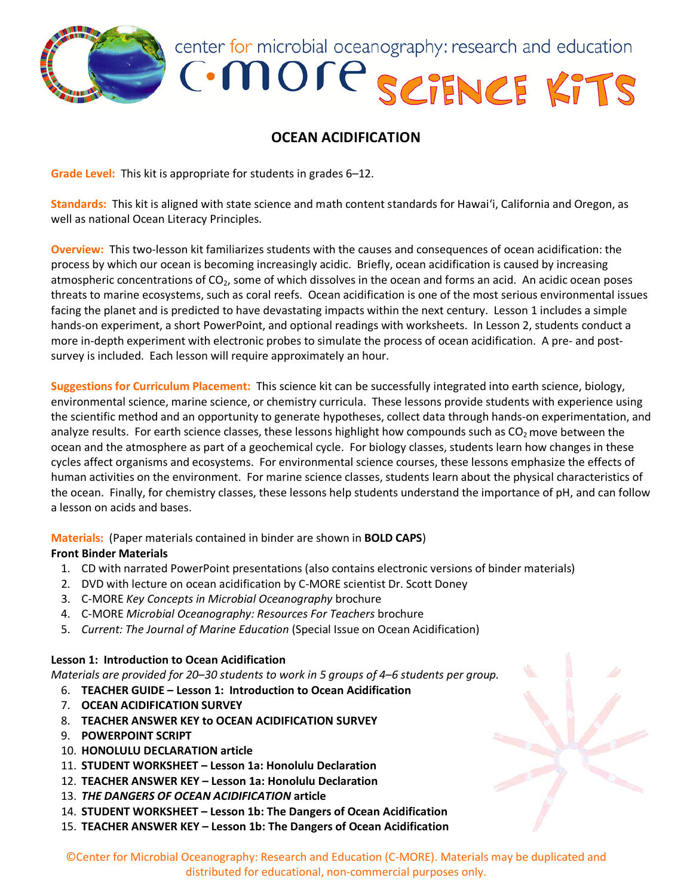

center for microbial oceanography: research and education

# **C**-more SCIENCE KITS

# **OCEAN ACIDIFICATION**

**Grade Level:** This kit is appropriate for students in grades 6–12.

**Standards:** This kit is aligned with state science and math content standards for Hawai'i, California and Oregon, as well as national Ocean Literacy Principles.

**Overview:** This two-lesson kit familiarizes students with the causes and consequences of ocean acidification: the process by which our ocean is becoming increasingly acidic. Briefly, ocean acidification is caused by increasing atmospheric concentrations of  $CO<sub>2</sub>$ , some of which dissolves in the ocean and forms an acid. An acidic ocean poses threats to marine ecosystems, such as coral reefs. Ocean acidification is one of the most serious environmental issues facing the planet and is predicted to have devastating impacts within the next century. Lesson 1 includes a simple hands-on experiment, a short PowerPoint, and optional readings with worksheets. In Lesson 2, students conduct a more in-depth experiment with electronic probes to simulate the process of ocean acidification. A pre- and postsurvey is included. Each lesson will require approximately an hour.

**Suggestions for Curriculum Placement:** This science kit can be successfully integrated into earth science, biology, environmental science, marine science, or chemistry curricula. These lessons provide students with experience using the scientific method and an opportunity to generate hypotheses, collect data through hands-on experimentation, and analyze results. For earth science classes, these lessons highlight how compounds such as  $CO<sub>2</sub>$  move between the ocean and the atmosphere as part of a geochemical cycle. For biology classes, students learn how changes in these cycles affect organisms and ecosystems. For environmental science courses, these lessons emphasize the effects of human activities on the environment. For marine science classes, students learn about the physical characteristics of the ocean. Finally, for chemistry classes, these lessons help students understand the importance of pH, and can follow a lesson on acids and bases.

**Materials:** (Paper materials contained in binder are shown in **BOLD CAPS**)

# **Front Binder Materials**

- 1. CD with narrated PowerPoint presentations (also contains electronic versions of binder materials)
- 2. DVD with lecture on ocean acidification by C-MORE scientist Dr. Scott Doney
- 3. C-MORE *Key Concepts in Microbial Oceanography* brochure
- 4. C-MORE *Microbial Oceanography: Resources For Teachers* brochure
- 5. *Current: The Journal of Marine Education* (Special Issue on Ocean Acidification)

# **Lesson 1: Introduction to Ocean Acidification**

*Materials are provided for 20*–*30 students to work in 5 groups of 4*–*6 students per group.* 

- 6. **TEACHER GUIDE – Lesson 1: Introduction to Ocean Acidification**
- 7. **OCEAN ACIDIFICATION SURVEY**
- 8. **TEACHER ANSWER KEY to OCEAN ACIDIFICATION SURVEY**
- 9. **POWERPOINT SCRIPT**
- 10. **HONOLULU DECLARATION article**
- 11. **STUDENT WORKSHEET – Lesson 1a: Honolulu Declaration**
- 12. **TEACHER ANSWER KEY – Lesson 1a: Honolulu Declaration**
- 13. *THE DANGERS OF OCEAN ACIDIFICATION* **article**
- 14. **STUDENT WORKSHEET – Lesson 1b: The Dangers of Ocean Acidification**
- 15. **TEACHER ANSWER KEY – Lesson 1b: The Dangers of Ocean Acidification**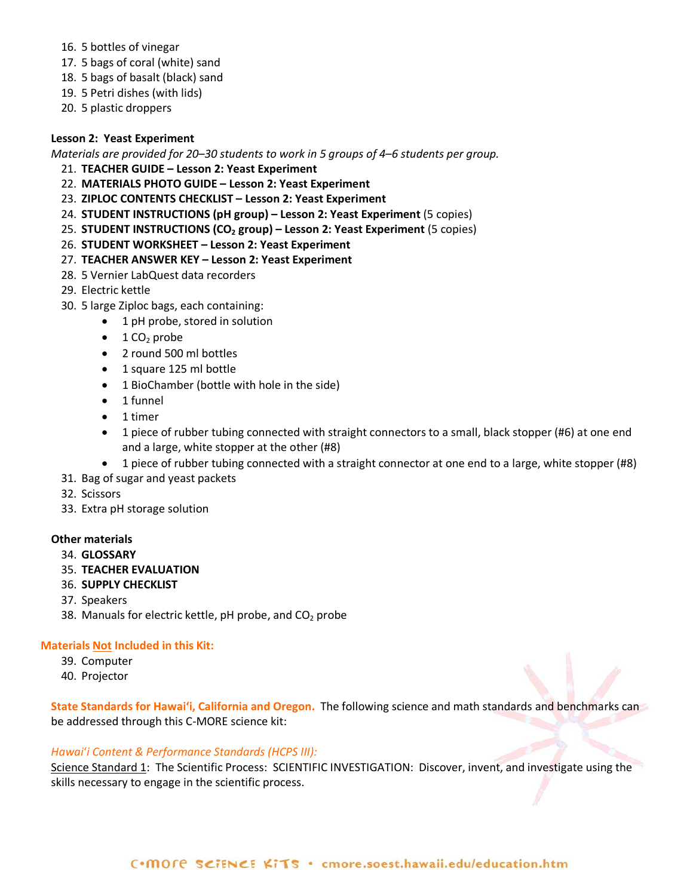- 16. 5 bottles of vinegar
- 17. 5 bags of coral (white) sand
- 18. 5 bags of basalt (black) sand
- 19. 5 Petri dishes (with lids)
- 20. 5 plastic droppers

#### **Lesson 2: Yeast Experiment**

*Materials are provided for 20*–*30 students to work in 5 groups of 4*–*6 students per group.* 

- 21. **TEACHER GUIDE – Lesson 2: Yeast Experiment**
- 22. **MATERIALS PHOTO GUIDE – Lesson 2: Yeast Experiment**
- 23. **ZIPLOC CONTENTS CHECKLIST – Lesson 2: Yeast Experiment**
- 24. **STUDENT INSTRUCTIONS (pH group) – Lesson 2: Yeast Experiment** (5 copies)
- 25. **STUDENT INSTRUCTIONS (CO<sub>2</sub> group) Lesson 2: Yeast Experiment (5 copies)**
- 26. **STUDENT WORKSHEET – Lesson 2: Yeast Experiment**
- 27. **TEACHER ANSWER KEY – Lesson 2: Yeast Experiment**
- 28. 5 Vernier LabQuest data recorders
- 29. Electric kettle
- 30. 5 large Ziploc bags, each containing:
	- 1 pH probe, stored in solution
		- $\bullet$  1 CO<sub>2</sub> probe
	- 2 round 500 ml bottles
	- 1 square 125 ml bottle
	- 1 BioChamber (bottle with hole in the side)
	- 1 funnel
	- 1 timer
	- 1 piece of rubber tubing connected with straight connectors to a small, black stopper (#6) at one end and a large, white stopper at the other (#8)
	- 1 piece of rubber tubing connected with a straight connector at one end to a large, white stopper (#8)
- 31. Bag of sugar and yeast packets
- 32. Scissors
- 33. Extra pH storage solution

## **Other materials**

- 34. **GLOSSARY**
- 35. **TEACHER EVALUATION**
- 36. **SUPPLY CHECKLIST**
- 37. Speakers
- 38. Manuals for electric kettle,  $pH$  probe, and  $CO<sub>2</sub>$  probe

#### **Materials Not Included in this Kit:**

- 39. Computer
- 40. Projector

**State Standards for Hawai'i, California and Oregon.** The following science and math standards and benchmarks can be addressed through this C-MORE science kit:

#### *Hawai*'*i Content & Performance Standards (HCPS III):*

Science Standard 1: The Scientific Process: SCIENTIFIC INVESTIGATION: Discover, invent, and investigate using the skills necessary to engage in the scientific process.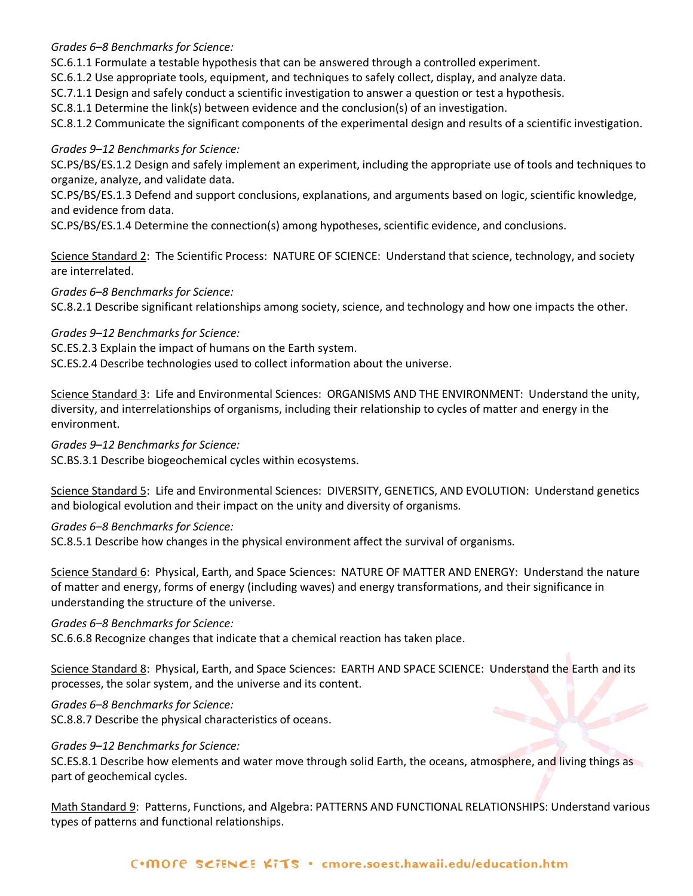*Grades 6–8 Benchmarks for Science:*

SC.6.1.1 Formulate a testable hypothesis that can be answered through a controlled experiment.

SC.6.1.2 Use appropriate tools, equipment, and techniques to safely collect, display, and analyze data.

SC.7.1.1 Design and safely conduct a scientific investigation to answer a question or test a hypothesis.

SC.8.1.1 Determine the link(s) between evidence and the conclusion(s) of an investigation.

SC.8.1.2 Communicate the significant components of the experimental design and results of a scientific investigation.

# *Grades 9–12 Benchmarks for Science:*

SC.PS/BS/ES.1.2 Design and safely implement an experiment, including the appropriate use of tools and techniques to organize, analyze, and validate data.

SC.PS/BS/ES.1.3 Defend and support conclusions, explanations, and arguments based on logic, scientific knowledge, and evidence from data.

SC.PS/BS/ES.1.4 Determine the connection(s) among hypotheses, scientific evidence, and conclusions.

Science Standard 2: The Scientific Process: NATURE OF SCIENCE: Understand that science, technology, and society are interrelated.

*Grades 6–8 Benchmarks for Science:*

SC.8.2.1 Describe significant relationships among society, science, and technology and how one impacts the other.

# *Grades 9–12 Benchmarks for Science:*

SC.ES.2.3 Explain the impact of humans on the Earth system.

SC.ES.2.4 Describe technologies used to collect information about the universe.

Science Standard 3: Life and Environmental Sciences: ORGANISMS AND THE ENVIRONMENT: Understand the unity, diversity, and interrelationships of organisms, including their relationship to cycles of matter and energy in the environment.

# *Grades 9–12 Benchmarks for Science:*

SC.BS.3.1 Describe biogeochemical cycles within ecosystems.

Science Standard 5: Life and Environmental Sciences: DIVERSITY, GENETICS, AND EVOLUTION: Understand genetics and biological evolution and their impact on the unity and diversity of organisms.

# *Grades 6–8 Benchmarks for Science:*

SC.8.5.1 Describe how changes in the physical environment affect the survival of organisms.

Science Standard 6: Physical, Earth, and Space Sciences: NATURE OF MATTER AND ENERGY: Understand the nature of matter and energy, forms of energy (including waves) and energy transformations, and their significance in understanding the structure of the universe.

## *Grades 6–8 Benchmarks for Science:*

SC.6.6.8 Recognize changes that indicate that a chemical reaction has taken place.

Science Standard 8: Physical, Earth, and Space Sciences: EARTH AND SPACE SCIENCE: Understand the Earth and its processes, the solar system, and the universe and its content.

# *Grades 6–8 Benchmarks for Science:*

SC.8.8.7 Describe the physical characteristics of oceans.

# *Grades 9–12 Benchmarks for Science:*

SC.ES.8.1 Describe how elements and water move through solid Earth, the oceans, atmosphere, and living things as part of geochemical cycles.

Math Standard 9: Patterns, Functions, and Algebra: PATTERNS AND FUNCTIONAL RELATIONSHIPS: Understand various types of patterns and functional relationships.

## C.MOre SCIENCE KITS . cmore.soest.hawaii.edu/education.htm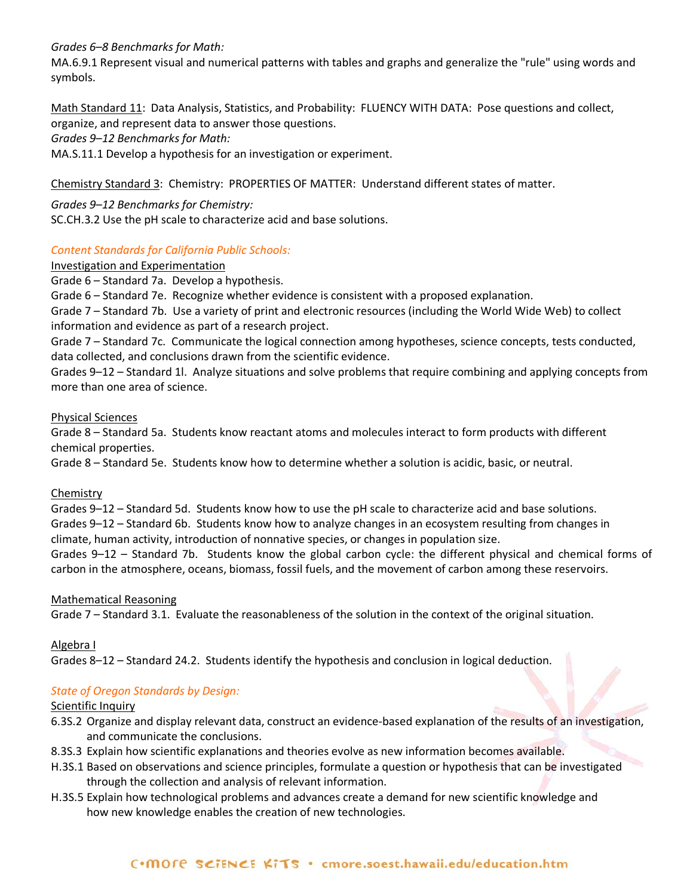*Grades 6–8 Benchmarks for Math:*

MA.6.9.1 Represent visual and numerical patterns with tables and graphs and generalize the "rule" using words and symbols.

Math Standard 11: Data Analysis, Statistics, and Probability: FLUENCY WITH DATA: Pose questions and collect, organize, and represent data to answer those questions.

*Grades 9–12 Benchmarks for Math:*

MA.S.11.1 Develop a hypothesis for an investigation or experiment.

Chemistry Standard 3: Chemistry: PROPERTIES OF MATTER: Understand different states of matter.

*Grades 9–12 Benchmarks for Chemistry:* SC.CH.3.2 Use the pH scale to characterize acid and base solutions.

# *Content Standards for California Public Schools:*

# Investigation and Experimentation

Grade 6 – Standard 7a. Develop a hypothesis.

Grade 6 – Standard 7e. Recognize whether evidence is consistent with a proposed explanation.

Grade 7 – Standard 7b. Use a variety of print and electronic resources (including the World Wide Web) to collect information and evidence as part of a research project.

Grade 7 – Standard 7c. Communicate the logical connection among hypotheses, science concepts, tests conducted, data collected, and conclusions drawn from the scientific evidence.

Grades 9–12 – Standard 1l. Analyze situations and solve problems that require combining and applying concepts from more than one area of science.

## Physical Sciences

Grade 8 – Standard 5a. Students know reactant atoms and molecules interact to form products with different chemical properties.

Grade 8 – Standard 5e. Students know how to determine whether a solution is acidic, basic, or neutral.

## **Chemistry**

Grades 9–12 – Standard 5d. Students know how to use the pH scale to characterize acid and base solutions. Grades 9–12 – Standard 6b. Students know how to analyze changes in an ecosystem resulting from changes in climate, human activity, introduction of nonnative species, or changes in population size.

Grades 9–12 – Standard 7b. Students know the global carbon cycle: the different physical and chemical forms of carbon in the atmosphere, oceans, biomass, fossil fuels, and the movement of carbon among these reservoirs.

## Mathematical Reasoning

Grade 7 – Standard 3.1. Evaluate the reasonableness of the solution in the context of the original situation.

Algebra I

Grades 8–12 – Standard 24.2. Students identify the hypothesis and conclusion in logical deduction.

# *State of Oregon Standards by Design:*

## Scientific Inquiry

- 6.3S.2 Organize and display relevant data, construct an evidence-based explanation of the results of an investigation, and communicate the conclusions.
- 8.3S.3 Explain how scientific explanations and theories evolve as new information becomes available.
- H.3S.1 Based on observations and science principles, formulate a question or hypothesis that can be investigated through the collection and analysis of relevant information.
- H.3S.5 Explain how technological problems and advances create a demand for new scientific knowledge and how new knowledge enables the creation of new technologies.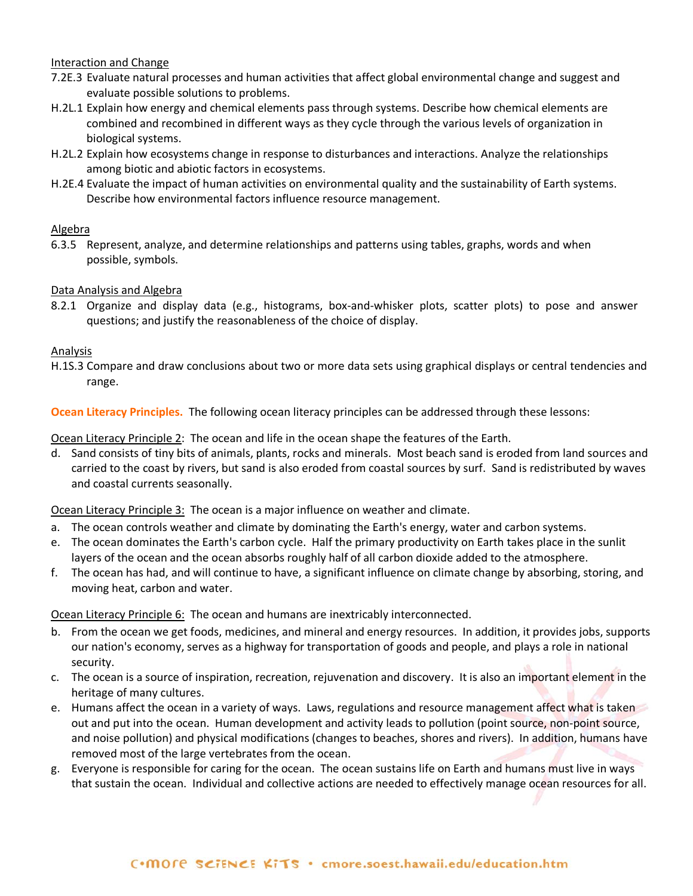## Interaction and Change

- 7.2E.3 Evaluate natural processes and human activities that affect global environmental change and suggest and evaluate possible solutions to problems.
- H.2L.1 Explain how energy and chemical elements pass through systems. Describe how chemical elements are combined and recombined in different ways as they cycle through the various levels of organization in biological systems.
- H.2L.2 Explain how ecosystems change in response to disturbances and interactions. Analyze the relationships among biotic and abiotic factors in ecosystems.
- H.2E.4 Evaluate the impact of human activities on environmental quality and the sustainability of Earth systems. Describe how environmental factors influence resource management.

# Algebra

6.3.5 Represent, analyze, and determine relationships and patterns using tables, graphs, words and when possible, symbols.

# Data Analysis and Algebra

8.2.1 Organize and display data (e.g., histograms, box-and-whisker plots, scatter plots) to pose and answer questions; and justify the reasonableness of the choice of display.

## Analysis

H.1S.3 Compare and draw conclusions about two or more data sets using graphical displays or central tendencies and range.

**Ocean Literacy Principles.** The following ocean literacy principles can be addressed through these lessons:

Ocean Literacy Principle 2: The ocean and life in the ocean shape the features of the Earth.

d. Sand consists of tiny bits of animals, plants, rocks and minerals. Most beach sand is eroded from land sources and carried to the coast by rivers, but sand is also eroded from coastal sources by surf. Sand is redistributed by waves and coastal currents seasonally.

Ocean Literacy Principle 3: The ocean is a major influence on weather and climate.

- a. The ocean controls weather and climate by dominating the Earth's energy, water and carbon systems.
- e. The ocean dominates the Earth's carbon cycle. Half the primary productivity on Earth takes place in the sunlit layers of the ocean and the ocean absorbs roughly half of all carbon dioxide added to the atmosphere.
- f. The ocean has had, and will continue to have, a significant influence on climate change by absorbing, storing, and moving heat, carbon and water.

Ocean Literacy Principle 6: The ocean and humans are inextricably interconnected.

- b. From the ocean we get foods, medicines, and mineral and energy resources. In addition, it provides jobs, supports our nation's economy, serves as a highway for transportation of goods and people, and plays a role in national security.
- c. The ocean is a source of inspiration, recreation, rejuvenation and discovery. It is also an important element in the heritage of many cultures.
- e. Humans affect the ocean in a variety of ways. Laws, regulations and resource management affect what is taken out and put into the ocean. Human development and activity leads to pollution (point source, non-point source, and noise pollution) and physical modifications (changes to beaches, shores and rivers). In addition, humans have removed most of the large vertebrates from the ocean.
- g. Everyone is responsible for caring for the ocean. The ocean sustains life on Earth and humans must live in ways that sustain the ocean. Individual and collective actions are needed to effectively manage ocean resources for all.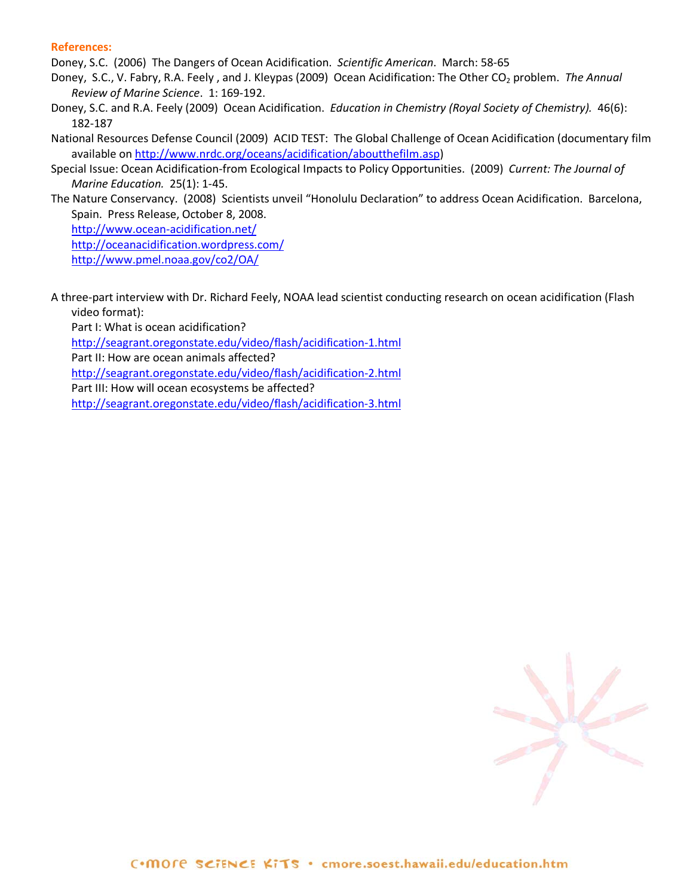#### **References:**

Doney, S.C. (2006) The Dangers of Ocean Acidification. *Scientific American*.March: 58-65

- Doney, S.C., V. Fabry, R.A. Feely, and J. Kleypas (2009) Ocean Acidification: The Other CO<sub>2</sub> problem. The Annual *Review of Marine Science*. 1: 169-192.
- Doney, S.C. and R.A. Feely (2009) Ocean Acidification. *Education in Chemistry (Royal Society of Chemistry).* 46(6): 182-187
- National Resources Defense Council (2009) ACID TEST: The Global Challenge of Ocean Acidification (documentary film available on [http://www.nrdc.org/oceans/acidification/aboutthefilm.asp\)](http://www.nrdc.org/oceans/acidification/aboutthefilm.asp)
- Special Issue: Ocean Acidification-from Ecological Impacts to Policy Opportunities. (2009) *Current: The Journal of Marine Education.* 25(1): 1-45.
- The Nature Conservancy. (2008) Scientists unveil "Honolulu Declaration" to address Ocean Acidification. Barcelona, Spain. Press Release, October 8, 2008.

<http://www.ocean-acidification.net/>

<http://oceanacidification.wordpress.com/>

<http://www.pmel.noaa.gov/co2/OA/>

A three-part interview with Dr. Richard Feely, NOAA lead scientist conducting research on ocean acidification (Flash video format):

Part I: What is ocean acidification?

<http://seagrant.oregonstate.edu/video/flash/acidification-1.html>

Part II: How are ocean animals affected?

<http://seagrant.oregonstate.edu/video/flash/acidification-2.html>

Part III: How will ocean ecosystems be affected?

<http://seagrant.oregonstate.edu/video/flash/acidification-3.html>

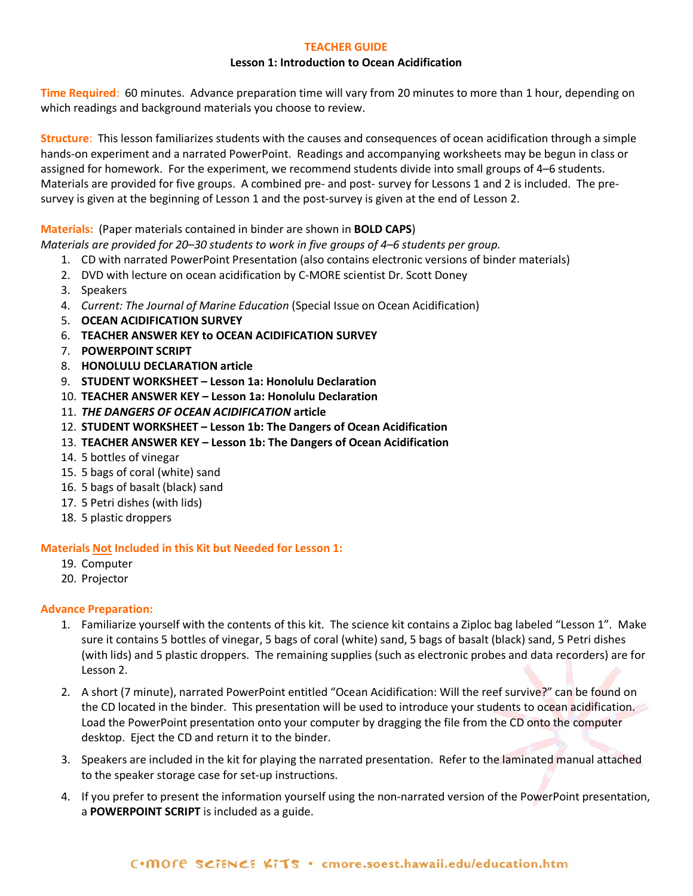## **TEACHER GUIDE**

#### **Lesson 1: Introduction to Ocean Acidification**

**Time Required**: 60 minutes. Advance preparation time will vary from 20 minutes to more than 1 hour, depending on which readings and background materials you choose to review.

**Structure**: This lesson familiarizes students with the causes and consequences of ocean acidification through a simple hands-on experiment and a narrated PowerPoint. Readings and accompanying worksheets may be begun in class or assigned for homework. For the experiment, we recommend students divide into small groups of 4–6 students. Materials are provided for five groups. A combined pre- and post- survey for Lessons 1 and 2 is included. The presurvey is given at the beginning of Lesson 1 and the post-survey is given at the end of Lesson 2.

## **Materials:** (Paper materials contained in binder are shown in **BOLD CAPS**)

*Materials are provided for 20*–*30 students to work in five groups of 4*–*6 students per group.* 

- 1. CD with narrated PowerPoint Presentation (also contains electronic versions of binder materials)
- 2. DVD with lecture on ocean acidification by C-MORE scientist Dr. Scott Doney
- 3. Speakers
- 4. *Current: The Journal of Marine Education* (Special Issue on Ocean Acidification)
- 5. **OCEAN ACIDIFICATION SURVEY**
- 6. **TEACHER ANSWER KEY to OCEAN ACIDIFICATION SURVEY**
- 7. **POWERPOINT SCRIPT**
- 8. **HONOLULU DECLARATION article**
- 9. **STUDENT WORKSHEET – Lesson 1a: Honolulu Declaration**
- 10. **TEACHER ANSWER KEY – Lesson 1a: Honolulu Declaration**
- 11. *THE DANGERS OF OCEAN ACIDIFICATION* **article**
- 12. **STUDENT WORKSHEET – Lesson 1b: The Dangers of Ocean Acidification**
- 13. **TEACHER ANSWER KEY – Lesson 1b: The Dangers of Ocean Acidification**
- 14. 5 bottles of vinegar
- 15. 5 bags of coral (white) sand
- 16. 5 bags of basalt (black) sand
- 17. 5 Petri dishes (with lids)
- 18. 5 plastic droppers

## **Materials Not Included in this Kit but Needed for Lesson 1:**

- 19. Computer
- 20. Projector

## **Advance Preparation:**

- 1. Familiarize yourself with the contents of this kit. The science kit contains a Ziploc bag labeled "Lesson 1". Make sure it contains 5 bottles of vinegar, 5 bags of coral (white) sand, 5 bags of basalt (black) sand, 5 Petri dishes (with lids) and 5 plastic droppers. The remaining supplies (such as electronic probes and data recorders) are for Lesson 2.
- 2. A short (7 minute), narrated PowerPoint entitled "Ocean Acidification: Will the reef survive?" can be found on the CD located in the binder. This presentation will be used to introduce your students to ocean acidification. Load the PowerPoint presentation onto your computer by dragging the file from the CD onto the computer desktop. Eject the CD and return it to the binder.
- 3. Speakers are included in the kit for playing the narrated presentation. Refer to the laminated manual attached to the speaker storage case for set-up instructions.
- 4. If you prefer to present the information yourself using the non-narrated version of the PowerPoint presentation, a **POWERPOINT SCRIPT** is included as a guide.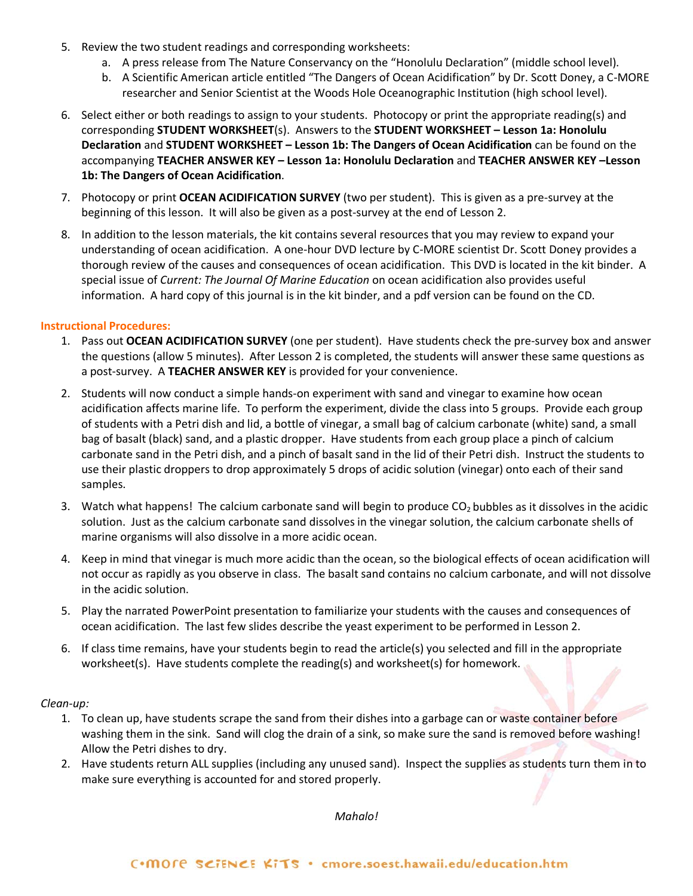- 5. Review the two student readings and corresponding worksheets:
	- a. A press release from The Nature Conservancy on the "Honolulu Declaration" (middle school level).
	- b. A Scientific American article entitled "The Dangers of Ocean Acidification" by Dr. Scott Doney, a C-MORE researcher and Senior Scientist at the Woods Hole Oceanographic Institution (high school level).
- 6. Select either or both readings to assign to your students. Photocopy or print the appropriate reading(s) and corresponding **STUDENT WORKSHEET**(s). Answers to the **STUDENT WORKSHEET – Lesson 1a: Honolulu Declaration** and **STUDENT WORKSHEET – Lesson 1b: The Dangers of Ocean Acidification** can be found on the accompanying **TEACHER ANSWER KEY – Lesson 1a: Honolulu Declaration** and **TEACHER ANSWER KEY –Lesson 1b: The Dangers of Ocean Acidification**.
- 7. Photocopy or print **OCEAN ACIDIFICATION SURVEY** (two per student). This is given as a pre-survey at the beginning of this lesson. It will also be given as a post-survey at the end of Lesson 2.
- 8. In addition to the lesson materials, the kit contains several resources that you may review to expand your understanding of ocean acidification. A one-hour DVD lecture by C-MORE scientist Dr. Scott Doney provides a thorough review of the causes and consequences of ocean acidification. This DVD is located in the kit binder. A special issue of *Current: The Journal Of Marine Education* on ocean acidification also provides useful information. A hard copy of this journal is in the kit binder, and a pdf version can be found on the CD.

## **Instructional Procedures:**

- 1. Pass out **OCEAN ACIDIFICATION SURVEY** (one per student).Have students check the pre-survey box and answer the questions (allow 5 minutes). After Lesson 2 is completed, the students will answer these same questions as a post-survey. A **TEACHER ANSWER KEY** is provided for your convenience.
- 2. Students will now conduct a simple hands-on experiment with sand and vinegar to examine how ocean acidification affects marine life. To perform the experiment, divide the class into 5 groups. Provide each group of students with a Petri dish and lid, a bottle of vinegar, a small bag of calcium carbonate (white) sand, a small bag of basalt (black) sand, and a plastic dropper. Have students from each group place a pinch of calcium carbonate sand in the Petri dish, and a pinch of basalt sand in the lid of their Petri dish. Instruct the students to use their plastic droppers to drop approximately 5 drops of acidic solution (vinegar) onto each of their sand samples.
- 3. Watch what happens! The calcium carbonate sand will begin to produce  $CO<sub>2</sub>$  bubbles as it dissolves in the acidic solution. Just as the calcium carbonate sand dissolves in the vinegar solution, the calcium carbonate shells of marine organisms will also dissolve in a more acidic ocean.
- 4. Keep in mind that vinegar is much more acidic than the ocean, so the biological effects of ocean acidification will not occur as rapidly as you observe in class. The basalt sand contains no calcium carbonate, and will not dissolve in the acidic solution.
- 5. Play the narrated PowerPoint presentation to familiarize your students with the causes and consequences of ocean acidification. The last few slides describe the yeast experiment to be performed in Lesson 2.
- 6. If class time remains, have your students begin to read the article(s) you selected and fill in the appropriate worksheet(s). Have students complete the reading(s) and worksheet(s) for homework.

*Clean-up:*

- 1. To clean up, have students scrape the sand from their dishes into a garbage can or waste container before washing them in the sink. Sand will clog the drain of a sink, so make sure the sand is removed before washing! Allow the Petri dishes to dry.
- 2. Have students return ALL supplies (including any unused sand). Inspect the supplies as students turn them in to make sure everything is accounted for and stored properly.

*Mahalo!*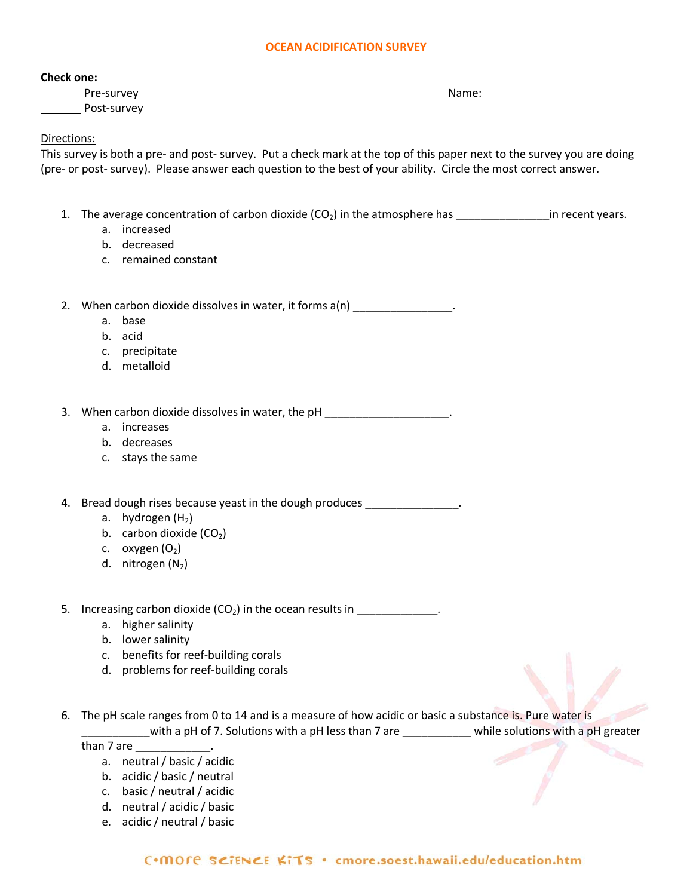#### **OCEAN ACIDIFICATION SURVEY**

#### **Check one:**

Pre-survey and the state of the state of the state of the Name: Post-survey

## Directions:

This survey is both a pre- and post- survey. Put a check mark at the top of this paper next to the survey you are doing (pre- or post- survey). Please answer each question to the best of your ability. Circle the most correct answer.

- 1. The average concentration of carbon dioxide  $(CO_2)$  in the atmosphere has \_\_\_\_\_\_\_\_\_\_\_\_\_\_\_\_in recent years.
	- a. increased
	- b. decreased
	- c. remained constant

2. When carbon dioxide dissolves in water, it forms  $a(n)$ 

- a. base
- b. acid
- c. precipitate
- d. metalloid

3. When carbon dioxide dissolves in water, the pH \_\_\_\_\_\_\_\_\_\_\_\_\_\_\_\_\_\_\_\_\_.

- a. increases
- b. decreases
- c. stays the same

4. Bread dough rises because yeast in the dough produces \_\_\_\_\_\_\_\_\_\_\_\_\_\_\_.

- a. hydrogen  $(H<sub>2</sub>)$
- b. carbon dioxide  $(CO<sub>2</sub>)$
- c. oxygen  $(O_2)$
- d. nitrogen  $(N_2)$
- 5. Increasing carbon dioxide  $(CO_2)$  in the ocean results in  $\frac{1}{\frac{1}{2} \cdot \frac{1}{2} \cdot \frac{1}{2} \cdot \frac{1}{2} \cdot \frac{1}{2} \cdot \frac{1}{2} \cdot \frac{1}{2} \cdot \frac{1}{2} \cdot \frac{1}{2} \cdot \frac{1}{2} \cdot \frac{1}{2} \cdot \frac{1}{2} \cdot \frac{1}{2} \cdot \frac{1}{2} \cdot \frac{1}{2} \cdot \frac{1}{2} \cdot \frac{1}{2} \cdot \$ 
	- a. higher salinity
	- b. lower salinity
	- c. benefits for reef-building corals
	- d. problems for reef-building corals
- 6. The pH scale ranges from 0 to 14 and is a measure of how acidic or basic a substance is. Pure water is \_\_\_\_\_\_with a pH of 7. Solutions with a pH less than 7 are \_\_\_\_\_\_\_\_\_\_\_\_ while solutions with a pH greater

than 7 are \_\_\_\_\_\_\_\_\_\_\_\_\_\_.

- a. neutral / basic / acidic
- b. acidic / basic / neutral
- c. basic / neutral / acidic
- d. neutral / acidic / basic
- e. acidic / neutral / basic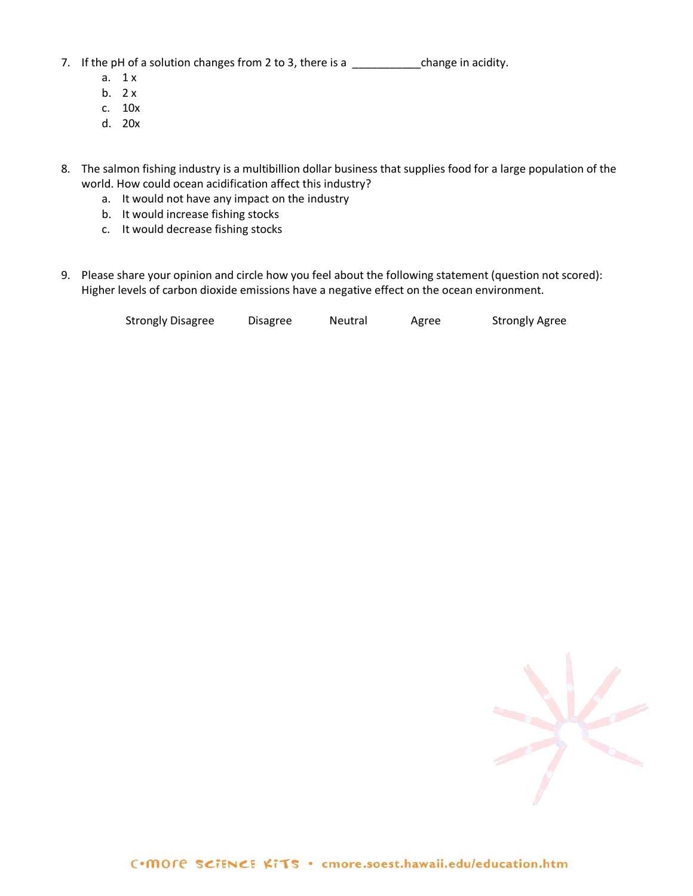7. If the pH of a solution changes from 2 to 3, there is a \_\_\_\_\_\_\_\_\_\_\_\_\_\_\_\_\_\_\_change in acidity.

- a. 1 x
- b.  $2x$
- c. 10x
- d. 20x
- 8. The salmon fishing industry is a multibillion dollar business that supplies food for a large population of the world. How could ocean acidification affect this industry?
	- a. It would not have any impact on the industry
	- b. It would increase fishing stocks
	- c. It would decrease fishing stocks
- 9. Please share your opinion and circle how you feel about the following statement (question not scored): Higher levels of carbon dioxide emissions have a negative effect on the ocean environment.

| <b>Strongly Disagree</b> | Disagree | Neutral | Agree | <b>Strongly Agree</b> |
|--------------------------|----------|---------|-------|-----------------------|
|                          |          |         |       |                       |

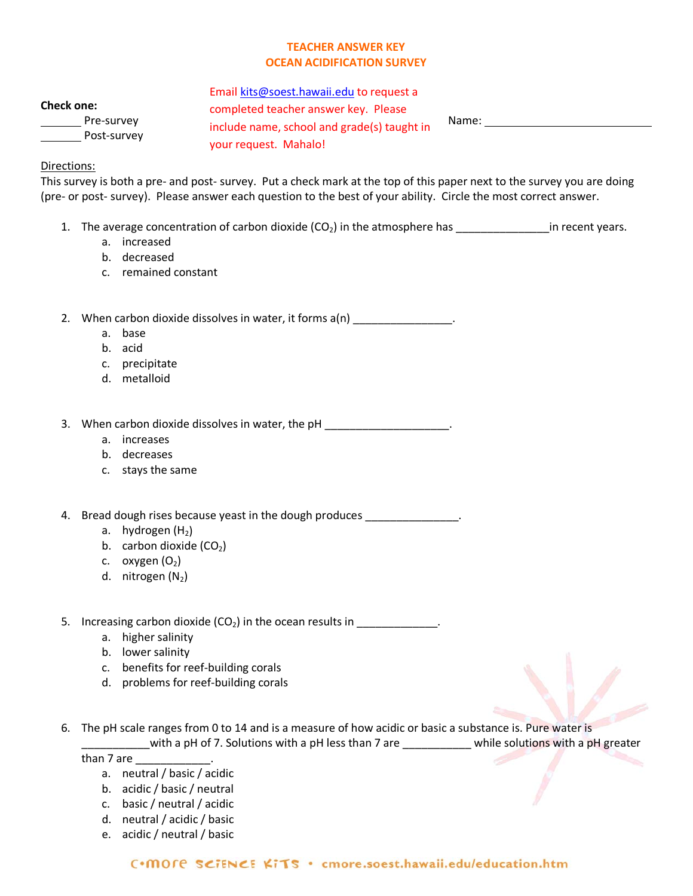# **TEACHER ANSWER KEY OCEAN ACIDIFICATION SURVEY**

| <b>Check one:</b> |
|-------------------|
|                   |
|                   |

Post-survey

Pre-survey **Exercise 2** include name, school and grade(s) taught in Name: Email [kits@soest.hawaii.edu](mailto:kits@soest.hawaii.edu) to request a completed teacher answer key. Please your request. Mahalo!

# Directions:

This survey is both a pre- and post- survey. Put a check mark at the top of this paper next to the survey you are doing (pre- or post- survey). Please answer each question to the best of your ability. Circle the most correct answer.

- 1. The average concentration of carbon dioxide  $(CO_2)$  in the atmosphere has \_\_\_\_\_\_\_\_\_\_\_\_\_\_\_\_\_in recent years.
	- a. increased
	- b. decreased
	- c. remained constant

2. When carbon dioxide dissolves in water, it forms a(n) \_\_\_\_\_\_\_\_\_\_\_\_\_\_\_\_.

- a. base
- b. acid
- c. precipitate
- d. metalloid

3. When carbon dioxide dissolves in water, the pH \_\_\_\_\_\_\_\_\_\_\_\_\_\_\_\_\_\_\_\_\_\_\_\_\_\_\_\_\_\_

- a. increases
- b. decreases
- c. stays the same

4. Bread dough rises because yeast in the dough produces

- a. hydrogen  $(H<sub>2</sub>)$
- b. carbon dioxide  $(CO<sub>2</sub>)$
- c.  $oxygen (O<sub>2</sub>)$
- d. nitrogen  $(N_2)$
- 5. Increasing carbon dioxide  $(CO_2)$  in the ocean results in  $\frac{1}{\sqrt{1-\frac{1}{2}}}\frac{1}{\sqrt{1-\frac{1}{2}}}\frac{1}{\sqrt{1-\frac{1}{2}}}\frac{1}{\sqrt{1-\frac{1}{2}}}\frac{1}{\sqrt{1-\frac{1}{2}}}\frac{1}{\sqrt{1-\frac{1}{2}}}\frac{1}{\sqrt{1-\frac{1}{2}}}\frac{1}{\sqrt{1-\frac{1}{2}}}\frac{1}{\sqrt{1-\frac{1}{2}}}\frac{1}{\sqrt{1-\frac{1}{2$ 
	- a. higher salinity
	- b. lower salinity
	- c. benefits for reef-building corals
	- d. problems for reef-building corals
- 6. The pH scale ranges from 0 to 14 and is a measure of how acidic or basic a substance is. Pure water is \_\_\_\_\_\_\_\_\_\_\_with a pH of 7. Solutions with a pH less than 7 are \_\_\_\_\_\_\_\_\_\_\_ while solutions with a pH greater

than 7 are \_\_\_\_\_\_\_\_\_\_\_\_\_\_\_.

- a. neutral / basic / acidic
- b. acidic / basic / neutral
- c. basic / neutral / acidic
- d. neutral / acidic / basic
- e. acidic / neutral / basic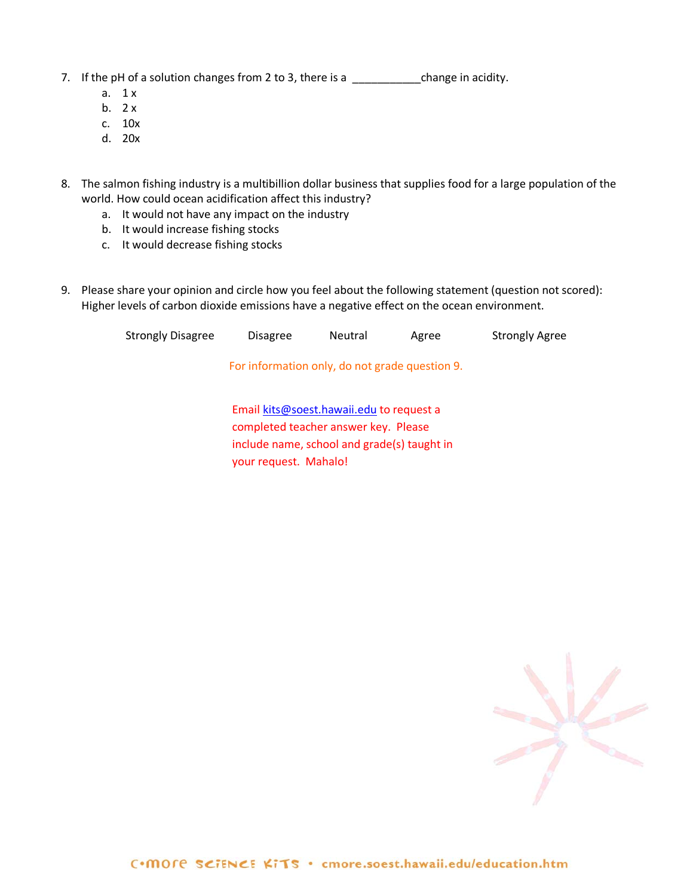- 7. If the pH of a solution changes from 2 to 3, there is a \_\_\_\_\_\_\_\_\_\_\_\_\_\_\_\_\_\_change in acidity.
	- a.  $1 x$
	- b.  $2x$
	- c. 10x
	- d. 20x
- 8. The salmon fishing industry is a multibillion dollar business that supplies food for a large population of the world. How could ocean acidification affect this industry?
	- a. It would not have any impact on the industry
	- b. It would increase fishing stocks
	- c. It would decrease fishing stocks
- 9. Please share your opinion and circle how you feel about the following statement (question not scored): Higher levels of carbon dioxide emissions have a negative effect on the ocean environment.

your request. Mahalo!

| <b>Strongly Disagree</b> | <b>Disagree</b>                                                                  | <b>Neutral</b> | Agree | <b>Strongly Agree</b> |
|--------------------------|----------------------------------------------------------------------------------|----------------|-------|-----------------------|
|                          | For information only, do not grade question 9.                                   |                |       |                       |
|                          | Email kits@soest.hawaii.edu to request a<br>completed teacher answer key. Please |                |       |                       |
|                          | include name, school and grade(s) taught in                                      |                |       |                       |

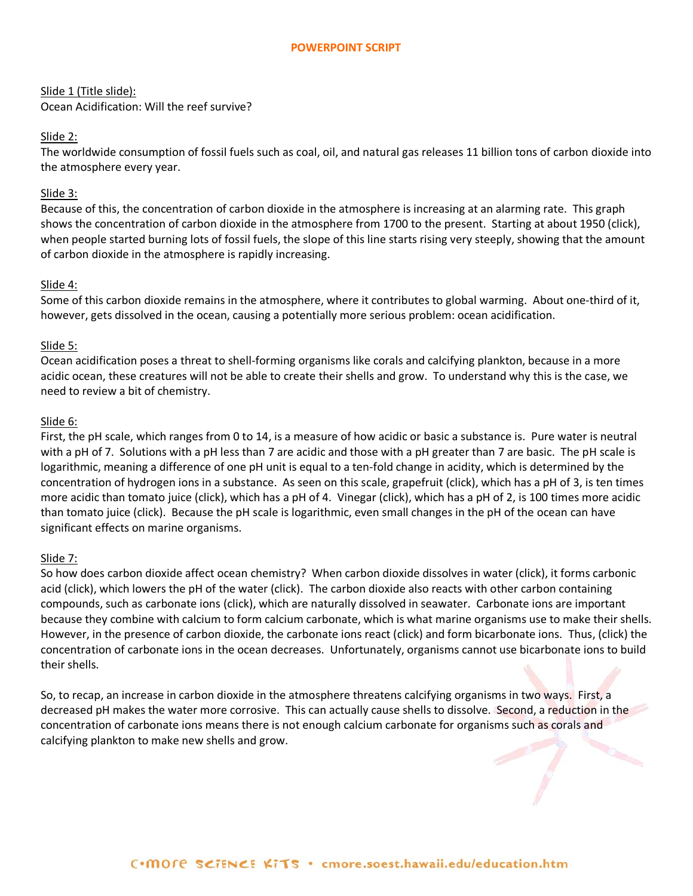#### **POWERPOINT SCRIPT**

Slide 1 (Title slide): Ocean Acidification: Will the reef survive?

#### Slide 2:

The worldwide consumption of fossil fuels such as coal, oil, and natural gas releases 11 billion tons of carbon dioxide into the atmosphere every year.

#### Slide 3:

Because of this, the concentration of carbon dioxide in the atmosphere is increasing at an alarming rate. This graph shows the concentration of carbon dioxide in the atmosphere from 1700 to the present. Starting at about 1950 (click), when people started burning lots of fossil fuels, the slope of this line starts rising very steeply, showing that the amount of carbon dioxide in the atmosphere is rapidly increasing.

#### Slide 4:

Some of this carbon dioxide remains in the atmosphere, where it contributes to global warming. About one-third of it, however, gets dissolved in the ocean, causing a potentially more serious problem: ocean acidification.

#### Slide 5:

Ocean acidification poses a threat to shell-forming organisms like corals and calcifying plankton, because in a more acidic ocean, these creatures will not be able to create their shells and grow. To understand why this is the case, we need to review a bit of chemistry.

#### Slide 6:

First, the pH scale, which ranges from 0 to 14, is a measure of how acidic or basic a substance is. Pure water is neutral with a pH of 7. Solutions with a pH less than 7 are acidic and those with a pH greater than 7 are basic. The pH scale is logarithmic, meaning a difference of one pH unit is equal to a ten-fold change in acidity, which is determined by the concentration of hydrogen ions in a substance. As seen on this scale, grapefruit (click), which has a pH of 3, is ten times more acidic than tomato juice (click), which has a pH of 4. Vinegar (click), which has a pH of 2, is 100 times more acidic than tomato juice (click). Because the pH scale is logarithmic, even small changes in the pH of the ocean can have significant effects on marine organisms.

#### Slide 7:

So how does carbon dioxide affect ocean chemistry? When carbon dioxide dissolves in water (click), it forms carbonic acid (click), which lowers the pH of the water (click). The carbon dioxide also reacts with other carbon containing compounds, such as carbonate ions (click), which are naturally dissolved in seawater. Carbonate ions are important because they combine with calcium to form calcium carbonate, which is what marine organisms use to make their shells. However, in the presence of carbon dioxide, the carbonate ions react (click) and form bicarbonate ions. Thus, (click) the concentration of carbonate ions in the ocean decreases. Unfortunately, organisms cannot use bicarbonate ions to build their shells.

So, to recap, an increase in carbon dioxide in the atmosphere threatens calcifying organisms in two ways. First, a decreased pH makes the water more corrosive. This can actually cause shells to dissolve. Second, a reduction in the concentration of carbonate ions means there is not enough calcium carbonate for organisms such as corals and calcifying plankton to make new shells and grow.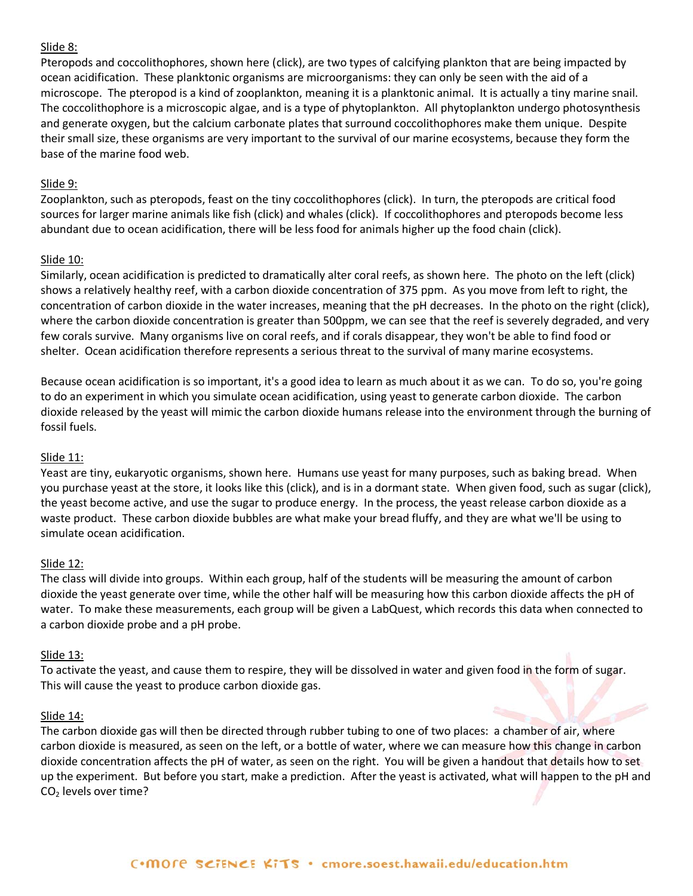#### Slide 8:

Pteropods and coccolithophores, shown here (click), are two types of calcifying plankton that are being impacted by ocean acidification. These planktonic organisms are microorganisms: they can only be seen with the aid of a microscope. The pteropod is a kind of zooplankton, meaning it is a planktonic animal. It is actually a tiny marine snail. The coccolithophore is a microscopic algae, and is a type of phytoplankton. All phytoplankton undergo photosynthesis and generate oxygen, but the calcium carbonate plates that surround coccolithophores make them unique. Despite their small size, these organisms are very important to the survival of our marine ecosystems, because they form the base of the marine food web.

#### Slide 9:

Zooplankton, such as pteropods, feast on the tiny coccolithophores (click). In turn, the pteropods are critical food sources for larger marine animals like fish (click) and whales (click). If coccolithophores and pteropods become less abundant due to ocean acidification, there will be less food for animals higher up the food chain (click).

#### Slide 10:

Similarly, ocean acidification is predicted to dramatically alter coral reefs, as shown here. The photo on the left (click) shows a relatively healthy reef, with a carbon dioxide concentration of 375 ppm. As you move from left to right, the concentration of carbon dioxide in the water increases, meaning that the pH decreases. In the photo on the right (click), where the carbon dioxide concentration is greater than 500ppm, we can see that the reef is severely degraded, and very few corals survive. Many organisms live on coral reefs, and if corals disappear, they won't be able to find food or shelter. Ocean acidification therefore represents a serious threat to the survival of many marine ecosystems.

Because ocean acidification is so important, it's a good idea to learn as much about it as we can. To do so, you're going to do an experiment in which you simulate ocean acidification, using yeast to generate carbon dioxide. The carbon dioxide released by the yeast will mimic the carbon dioxide humans release into the environment through the burning of fossil fuels.

## Slide 11:

Yeast are tiny, eukaryotic organisms, shown here. Humans use yeast for many purposes, such as baking bread. When you purchase yeast at the store, it looks like this (click), and is in a dormant state. When given food, such as sugar (click), the yeast become active, and use the sugar to produce energy. In the process, the yeast release carbon dioxide as a waste product. These carbon dioxide bubbles are what make your bread fluffy, and they are what we'll be using to simulate ocean acidification.

## Slide 12:

The class will divide into groups. Within each group, half of the students will be measuring the amount of carbon dioxide the yeast generate over time, while the other half will be measuring how this carbon dioxide affects the pH of water. To make these measurements, each group will be given a LabQuest, which records this data when connected to a carbon dioxide probe and a pH probe.

#### Slide 13:

To activate the yeast, and cause them to respire, they will be dissolved in water and given food in the form of sugar. This will cause the yeast to produce carbon dioxide gas.

#### Slide 14:

The carbon dioxide gas will then be directed through rubber tubing to one of two places: a chamber of air, where carbon dioxide is measured, as seen on the left, or a bottle of water, where we can measure how this change in carbon dioxide concentration affects the pH of water, as seen on the right. You will be given a handout that details how to set up the experiment. But before you start, make a prediction. After the yeast is activated, what will happen to the pH and  $CO<sub>2</sub>$  levels over time?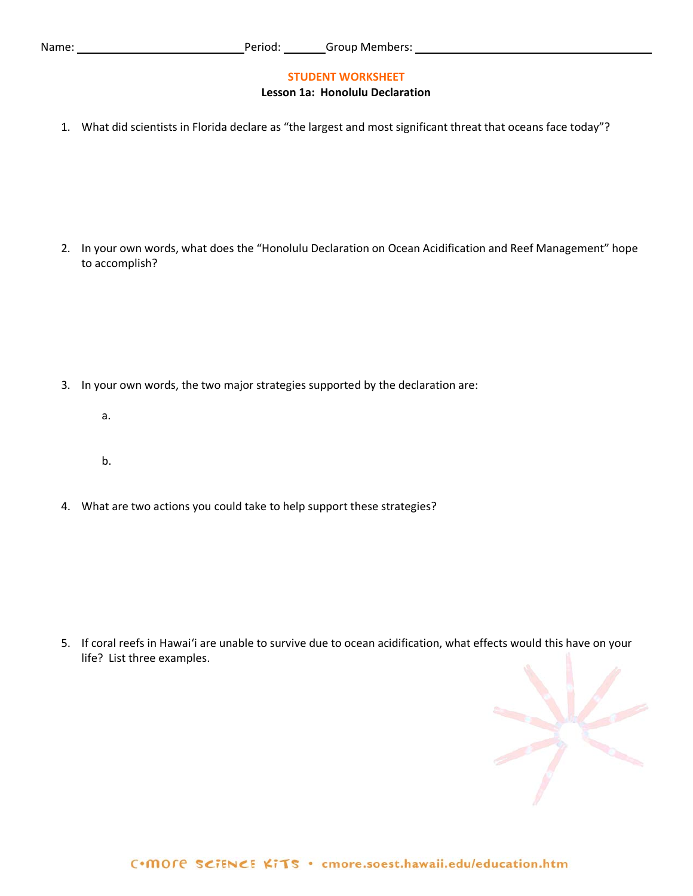#### **STUDENT WORKSHEET**

#### **Lesson 1a: Honolulu Declaration**

1. What did scientists in Florida declare as "the largest and most significant threat that oceans face today"?

2. In your own words, what does the "Honolulu Declaration on Ocean Acidification and Reef Management" hope to accomplish?

- 3. In your own words, the two major strategies supported by the declaration are:
	- a.
	- b.
- 4. What are two actions you could take to help support these strategies?

5. If coral reefs in Hawai'i are unable to survive due to ocean acidification, what effects would this have on your life? List three examples.

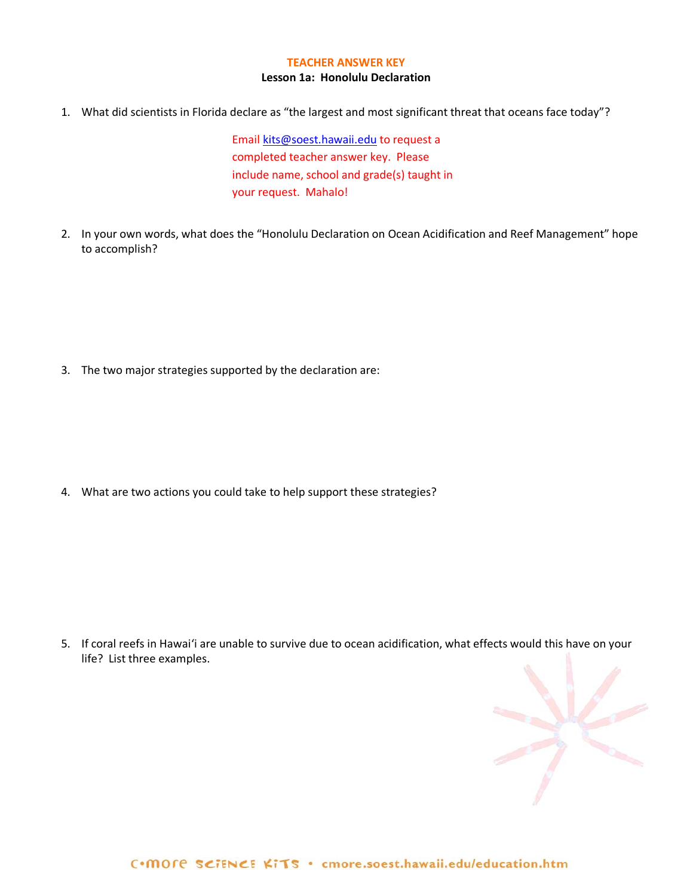#### **TEACHER ANSWER KEY**

#### **Lesson 1a: Honolulu Declaration**

1. What did scientists in Florida declare as "the largest and most significant threat that oceans face today"?

Email [kits@soest.hawaii.edu](mailto:kits@soest.hawaii.edu) to request a completed teacher answer key. Please include name, school and grade(s) taught in your request. Mahalo!

2. In your own words, what does the "Honolulu Declaration on Ocean Acidification and Reef Management" hope to accomplish?

3. The two major strategies supported by the declaration are:

4. What are two actions you could take to help support these strategies?

5. If coral reefs in Hawai'i are unable to survive due to ocean acidification, what effects would this have on your life? List three examples.

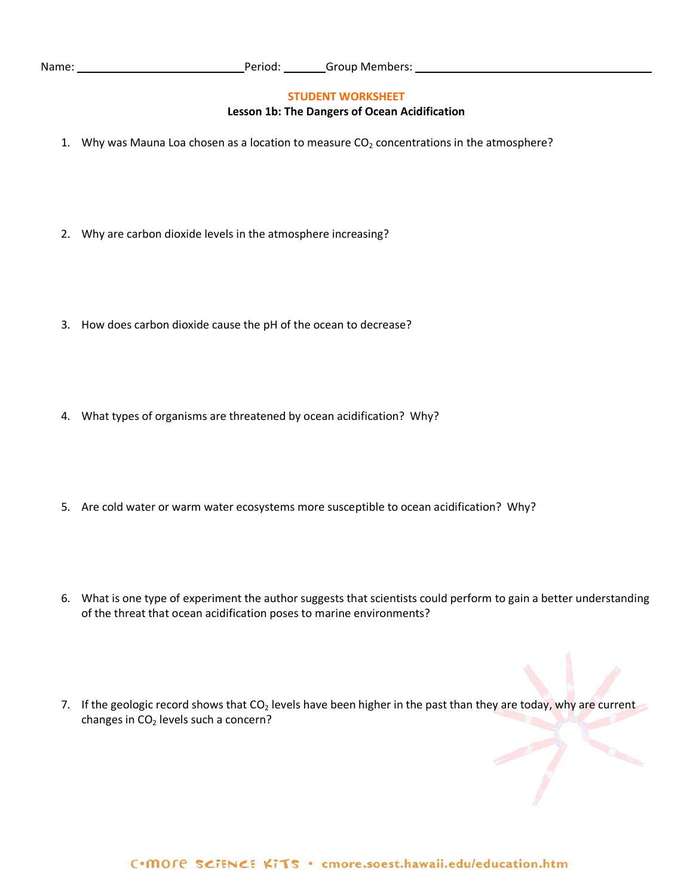#### **STUDENT WORKSHEET**

#### **Lesson 1b: The Dangers of Ocean Acidification**

- 1. Why was Mauna Loa chosen as a location to measure  $CO<sub>2</sub>$  concentrations in the atmosphere?
- 2. Why are carbon dioxide levels in the atmosphere increasing?
- 3. How does carbon dioxide cause the pH of the ocean to decrease?
- 4. What types of organisms are threatened by ocean acidification? Why?
- 5. Are cold water or warm water ecosystems more susceptible to ocean acidification? Why?
- 6. What is one type of experiment the author suggests that scientists could perform to gain a better understanding of the threat that ocean acidification poses to marine environments?
- 7. If the geologic record shows that  $CO<sub>2</sub>$  levels have been higher in the past than they are today, why are current changes in  $CO<sub>2</sub>$  levels such a concern?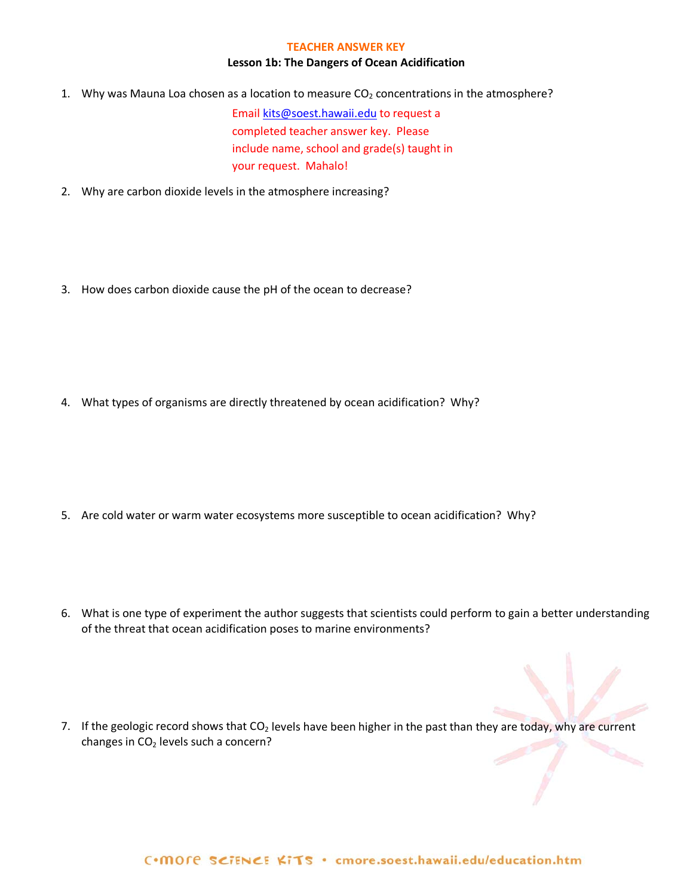#### **TEACHER ANSWER KEY**

#### **Lesson 1b: The Dangers of Ocean Acidification**

1. Why was Mauna Loa chosen as a location to measure  $CO<sub>2</sub>$  concentrations in the atmosphere?

Email [kits@soest.hawaii.edu](mailto:kits@soest.hawaii.edu) to request a completed teacher answer key. Please include name, school and grade(s) taught in your request. Mahalo!

- 2. Why are carbon dioxide levels in the atmosphere increasing?
- 3. How does carbon dioxide cause the pH of the ocean to decrease?

4. What types of organisms are directly threatened by ocean acidification? Why?

- 5. Are cold water or warm water ecosystems more susceptible to ocean acidification? Why?
- 6. What is one type of experiment the author suggests that scientists could perform to gain a better understanding of the threat that ocean acidification poses to marine environments?
- 7. If the geologic record shows that  $CO<sub>2</sub>$  levels have been higher in the past than they are today, why are current changes in  $CO<sub>2</sub>$  levels such a concern?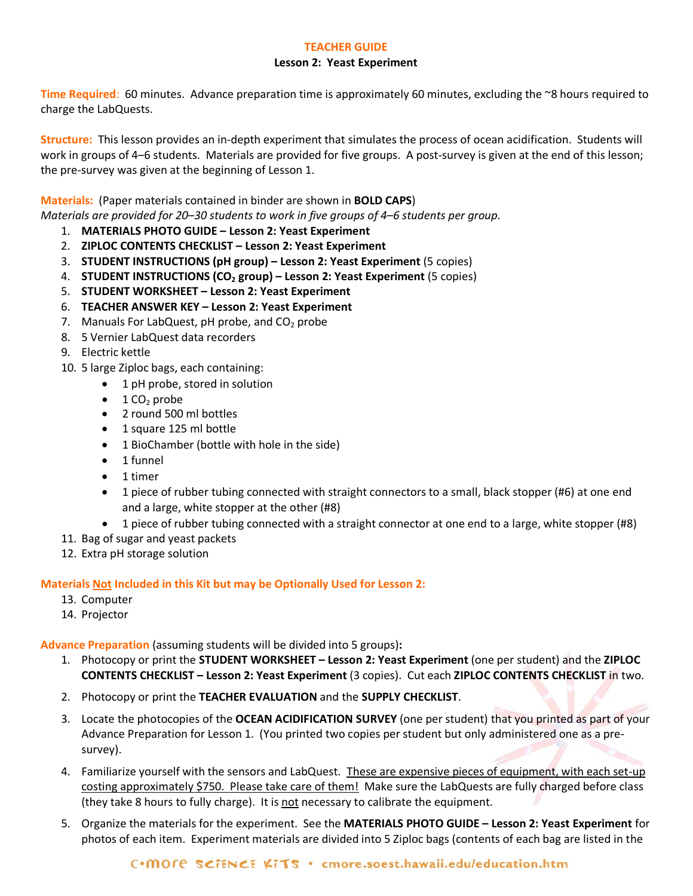# **TEACHER GUIDE**

## **Lesson 2: Yeast Experiment**

**Time Required**: 60 minutes. Advance preparation time is approximately 60 minutes, excluding the ~8 hours required to charge the LabQuests.

**Structure:** This lesson provides an in-depth experiment that simulates the process of ocean acidification. Students will work in groups of 4–6 students. Materials are provided for five groups. A post-survey is given at the end of this lesson; the pre-survey was given at the beginning of Lesson 1.

**Materials:** (Paper materials contained in binder are shown in **BOLD CAPS**) *Materials are provided for 20*–*30 students to work in five groups of 4*–*6 students per group.* 

- 1. **MATERIALS PHOTO GUIDE – Lesson 2: Yeast Experiment**
- 2. **ZIPLOC CONTENTS CHECKLIST – Lesson 2: Yeast Experiment**
- 3. **STUDENT INSTRUCTIONS (pH group) – Lesson 2: Yeast Experiment** (5 copies)
- 4. **STUDENT INSTRUCTIONS (CO2 group) – Lesson 2: Yeast Experiment** (5 copies)
- 5. **STUDENT WORKSHEET – Lesson 2: Yeast Experiment**
- 6. **TEACHER ANSWER KEY – Lesson 2: Yeast Experiment**
- 7. Manuals For LabQuest,  $pH$  probe, and  $CO<sub>2</sub>$  probe
- 8. 5 Vernier LabQuest data recorders
- 9. Electric kettle
- 10. 5 large Ziploc bags, each containing:
	- 1 pH probe, stored in solution
	- $\bullet$  1 CO<sub>2</sub> probe
	- 2 round 500 ml bottles
	- 1 square 125 ml bottle
	- 1 BioChamber (bottle with hole in the side)
	- 1 funnel
	- 1 timer
	- 1 piece of rubber tubing connected with straight connectors to a small, black stopper (#6) at one end and a large, white stopper at the other (#8)
	- 1 piece of rubber tubing connected with a straight connector at one end to a large, white stopper (#8)
- 11. Bag of sugar and yeast packets
- 12. Extra pH storage solution

**Materials Not Included in this Kit but may be Optionally Used for Lesson 2:**

- 13. Computer
- 14. Projector

**Advance Preparation** (assuming students will be divided into 5 groups)**:** 

- 1. Photocopy or print the **STUDENT WORKSHEET – Lesson 2: Yeast Experiment** (one per student) and the **ZIPLOC CONTENTS CHECKLIST – Lesson 2: Yeast Experiment** (3 copies). Cut each **ZIPLOC CONTENTS CHECKLIST** in two.
- 2. Photocopy or print the **TEACHER EVALUATION** and the **SUPPLY CHECKLIST**.
- 3. Locate the photocopies of the **OCEAN ACIDIFICATION SURVEY** (one per student) that you printed as part of your Advance Preparation for Lesson 1. (You printed two copies per student but only administered one as a presurvey).
- 4. Familiarize yourself with the sensors and LabQuest. These are expensive pieces of equipment, with each set-up costing approximately \$750. Please take care of them! Make sure the LabQuests are fully charged before class (they take 8 hours to fully charge). It is not necessary to calibrate the equipment.
- 5. Organize the materials for the experiment. See the **MATERIALS PHOTO GUIDE – Lesson 2: Yeast Experiment** for photos of each item. Experiment materials are divided into 5 Ziploc bags (contents of each bag are listed in the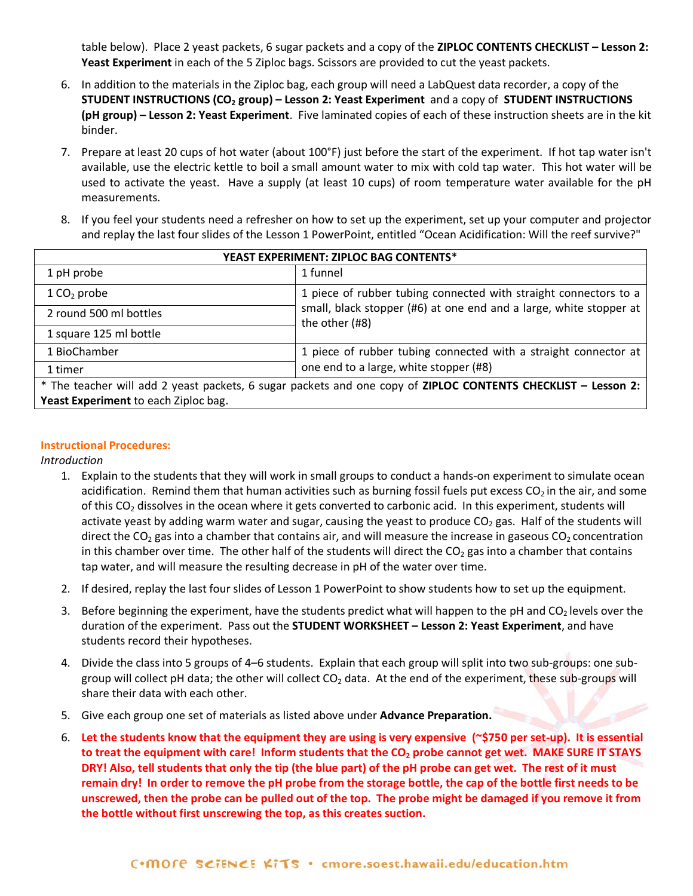table below). Place 2 yeast packets, 6 sugar packets and a copy of the **ZIPLOC CONTENTS CHECKLIST – Lesson 2: Yeast Experiment** in each of the 5 Ziploc bags. Scissors are provided to cut the yeast packets.

- 6. In addition to the materials in the Ziploc bag, each group will need a LabQuest data recorder, a copy of the **STUDENT INSTRUCTIONS (CO2 group) – Lesson 2: Yeast Experiment** and a copy of **STUDENT INSTRUCTIONS (pH group) – Lesson 2: Yeast Experiment**. Five laminated copies of each of these instruction sheets are in the kit binder.
- 7. Prepare at least 20 cups of hot water (about 100°F) just before the start of the experiment. If hot tap water isn't available, use the electric kettle to boil a small amount water to mix with cold tap water. This hot water will be used to activate the yeast. Have a supply (at least 10 cups) of room temperature water available for the pH measurements.
- 8. If you feel your students need a refresher on how to set up the experiment, set up your computer and projector and replay the last four slides of the Lesson 1 PowerPoint, entitled "Ocean Acidification: Will the reef survive?"

| YEAST EXPERIMENT: ZIPLOC BAG CONTENTS* |                                                                                                               |  |  |  |  |  |
|----------------------------------------|---------------------------------------------------------------------------------------------------------------|--|--|--|--|--|
| 1 pH probe                             | 1 funnel                                                                                                      |  |  |  |  |  |
| $1 \text{CO}_2$ probe                  | 1 piece of rubber tubing connected with straight connectors to a                                              |  |  |  |  |  |
| 2 round 500 ml bottles                 | small, black stopper (#6) at one end and a large, white stopper at  <br>the other (#8)                        |  |  |  |  |  |
| 1 square 125 ml bottle                 |                                                                                                               |  |  |  |  |  |
| 1 BioChamber                           | 1 piece of rubber tubing connected with a straight connector at                                               |  |  |  |  |  |
| 1 timer                                | one end to a large, white stopper (#8)                                                                        |  |  |  |  |  |
|                                        | * The teacher will add 2 yeast packets, 6 sugar packets and one copy of ZIPLOC CONTENTS CHECKLIST - Lesson 2: |  |  |  |  |  |
| Yeast Experiment to each Ziploc bag.   |                                                                                                               |  |  |  |  |  |

#### **Instructional Procedures:**

*Introduction*

- 1. Explain to the students that they will work in small groups to conduct a hands-on experiment to simulate ocean acidification. Remind them that human activities such as burning fossil fuels put excess  $CO<sub>2</sub>$  in the air, and some of this CO<sub>2</sub> dissolves in the ocean where it gets converted to carbonic acid. In this experiment, students will activate yeast by adding warm water and sugar, causing the yeast to produce  $CO<sub>2</sub>$  gas. Half of the students will direct the CO<sub>2</sub> gas into a chamber that contains air, and will measure the increase in gaseous CO<sub>2</sub> concentration in this chamber over time. The other half of the students will direct the  $CO<sub>2</sub>$  gas into a chamber that contains tap water, and will measure the resulting decrease in pH of the water over time.
- 2. If desired, replay the last four slides of Lesson 1 PowerPoint to show students how to set up the equipment.
- 3. Before beginning the experiment, have the students predict what will happen to the pH and  $CO<sub>2</sub>$  levels over the duration of the experiment. Pass out the **STUDENT WORKSHEET – Lesson 2: Yeast Experiment**, and have students record their hypotheses.
- 4. Divide the class into 5 groups of 4–6 students. Explain that each group will split into two sub-groups: one subgroup will collect pH data; the other will collect CO<sub>2</sub> data. At the end of the experiment, these sub-groups will share their data with each other.
- 5. Give each group one set of materials as listed above under **Advance Preparation.**
- 6. **Let the students know that the equipment they are using is very expensive (~\$750 per set-up). It is essential to treat the equipment with care! Inform students that the CO2 probe cannot get wet. MAKE SURE IT STAYS DRY! Also, tell students that only the tip (the blue part) of the pH probe can get wet. The rest of it must remain dry! In order to remove the pH probe from the storage bottle, the cap of the bottle first needs to be unscrewed, then the probe can be pulled out of the top. The probe might be damaged if you remove it from the bottle without first unscrewing the top, as this creates suction.**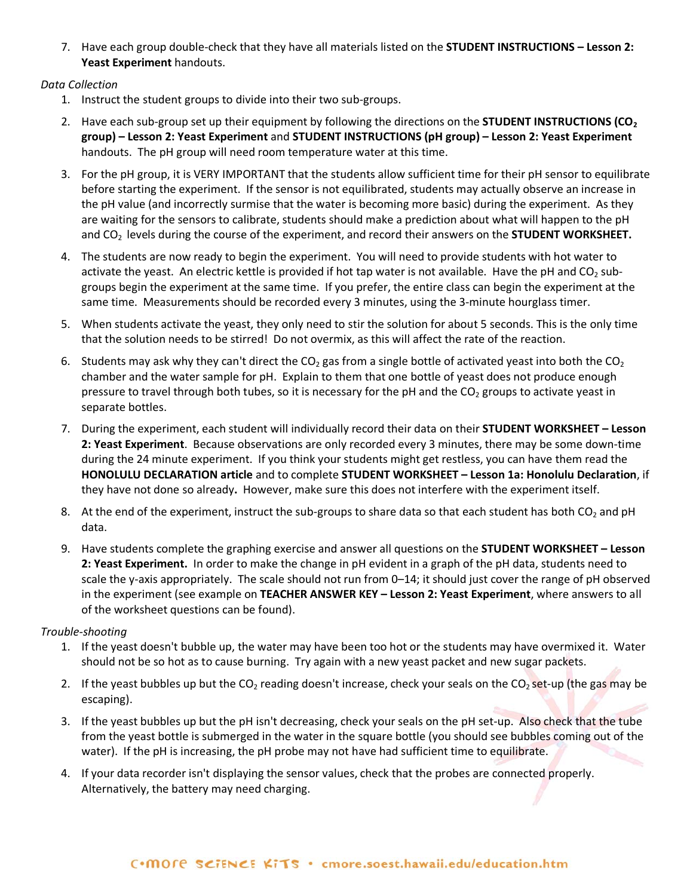7. Have each group double-check that they have all materials listed on the **STUDENT INSTRUCTIONS – Lesson 2: Yeast Experiment** handouts.

# *Data Collection*

- 1. Instruct the student groups to divide into their two sub-groups.
- 2. Have each sub-group set up their equipment by following the directions on the **STUDENT INSTRUCTIONS (CO**<sub>2</sub> **group) – Lesson 2: Yeast Experiment** and **STUDENT INSTRUCTIONS (pH group) – Lesson 2: Yeast Experiment** handouts. The pH group will need room temperature water at this time.
- 3. For the pH group, it is VERY IMPORTANT that the students allow sufficient time for their pH sensor to equilibrate before starting the experiment. If the sensor is not equilibrated, students may actually observe an increase in the pH value (and incorrectly surmise that the water is becoming more basic) during the experiment. As they are waiting for the sensors to calibrate, students should make a prediction about what will happen to the pH and CO2 levels during the course of the experiment, and record their answers on the **STUDENT WORKSHEET.**
- 4. The students are now ready to begin the experiment. You will need to provide students with hot water to activate the yeast. An electric kettle is provided if hot tap water is not available. Have the pH and  $CO<sub>2</sub>$  subgroups begin the experiment at the same time. If you prefer, the entire class can begin the experiment at the same time. Measurements should be recorded every 3 minutes, using the 3-minute hourglass timer.
- 5. When students activate the yeast, they only need to stir the solution for about 5 seconds. This is the only time that the solution needs to be stirred! Do not overmix, as this will affect the rate of the reaction.
- 6. Students may ask why they can't direct the  $CO<sub>2</sub>$  gas from a single bottle of activated yeast into both the  $CO<sub>2</sub>$ chamber and the water sample for pH. Explain to them that one bottle of yeast does not produce enough pressure to travel through both tubes, so it is necessary for the pH and the  $CO<sub>2</sub>$  groups to activate yeast in separate bottles.
- 7. During the experiment, each student will individually record their data on their **STUDENT WORKSHEET – Lesson 2: Yeast Experiment**. Because observations are only recorded every 3 minutes, there may be some down-time during the 24 minute experiment. If you think your students might get restless, you can have them read the **HONOLULU DECLARATION article** and to complete **STUDENT WORKSHEET – Lesson 1a: Honolulu Declaration**, if they have not done so already**.** However, make sure this does not interfere with the experiment itself.
- 8. At the end of the experiment, instruct the sub-groups to share data so that each student has both  $CO_2$  and pH data.
- 9. Have students complete the graphing exercise and answer all questions on the **STUDENT WORKSHEET – Lesson 2: Yeast Experiment.** In order to make the change in pH evident in a graph of the pH data, students need to scale the y-axis appropriately. The scale should not run from 0–14; it should just cover the range of pH observed in the experiment (see example on **TEACHER ANSWER KEY – Lesson 2: Yeast Experiment**, where answers to all of the worksheet questions can be found).

# *Trouble-shooting*

- 1. If the yeast doesn't bubble up, the water may have been too hot or the students may have overmixed it. Water should not be so hot as to cause burning. Try again with a new yeast packet and new sugar packets.
- 2. If the yeast bubbles up but the  $CO_2$  reading doesn't increase, check your seals on the  $CO_2$  set-up (the gas may be escaping).
- 3. If the yeast bubbles up but the pH isn't decreasing, check your seals on the pH set-up. Also check that the tube from the yeast bottle is submerged in the water in the square bottle (you should see bubbles coming out of the water). If the pH is increasing, the pH probe may not have had sufficient time to equilibrate.
- 4. If your data recorder isn't displaying the sensor values, check that the probes are connected properly. Alternatively, the battery may need charging.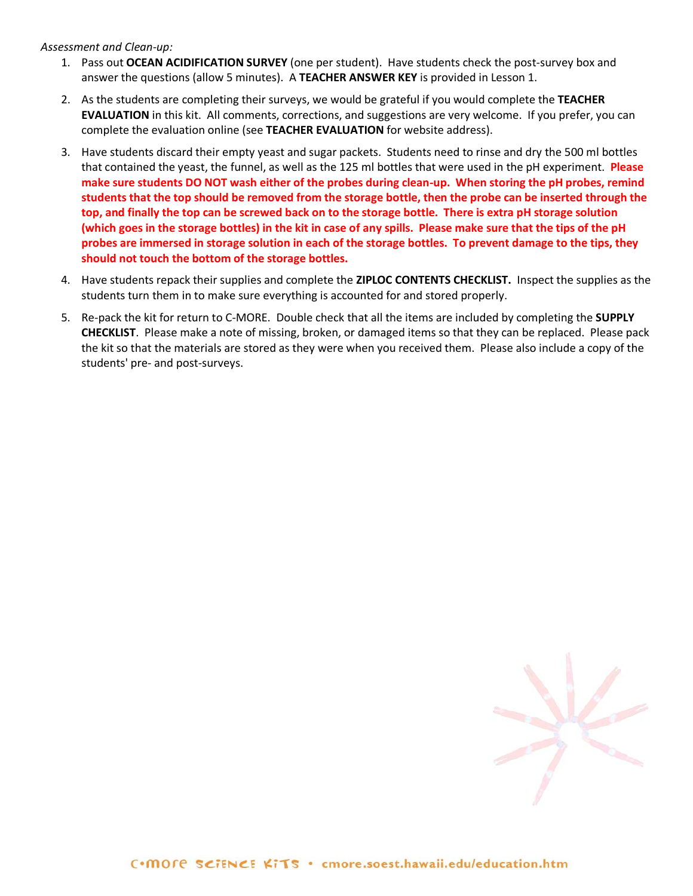*Assessment and Clean-up:*

- 1. Pass out **OCEAN ACIDIFICATION SURVEY** (one per student).Have students check the post-survey box and answer the questions (allow 5 minutes). A **TEACHER ANSWER KEY** is provided in Lesson 1.
- 2. As the students are completing their surveys, we would be grateful if you would complete the **TEACHER EVALUATION** in this kit. All comments, corrections, and suggestions are very welcome. If you prefer, you can complete the evaluation online (see **TEACHER EVALUATION** for website address).
- 3. Have students discard their empty yeast and sugar packets. Students need to rinse and dry the 500 ml bottles that contained the yeast, the funnel, as well as the 125 ml bottles that were used in the pH experiment. **Please make sure students DO NOT wash either of the probes during clean-up. When storing the pH probes, remind students that the top should be removed from the storage bottle, then the probe can be inserted through the top, and finally the top can be screwed back on to the storage bottle. There is extra pH storage solution (which goes in the storage bottles) in the kit in case of any spills. Please make sure that the tips of the pH probes are immersed in storage solution in each of the storage bottles. To prevent damage to the tips, they should not touch the bottom of the storage bottles.**
- 4. Have students repack their supplies and complete the **ZIPLOC CONTENTS CHECKLIST.** Inspect the supplies as the students turn them in to make sure everything is accounted for and stored properly.
- 5. Re-pack the kit for return to C-MORE. Double check that all the items are included by completing the **SUPPLY CHECKLIST**. Please make a note of missing, broken, or damaged items so that they can be replaced. Please pack the kit so that the materials are stored as they were when you received them. Please also include a copy of the students' pre- and post-surveys.

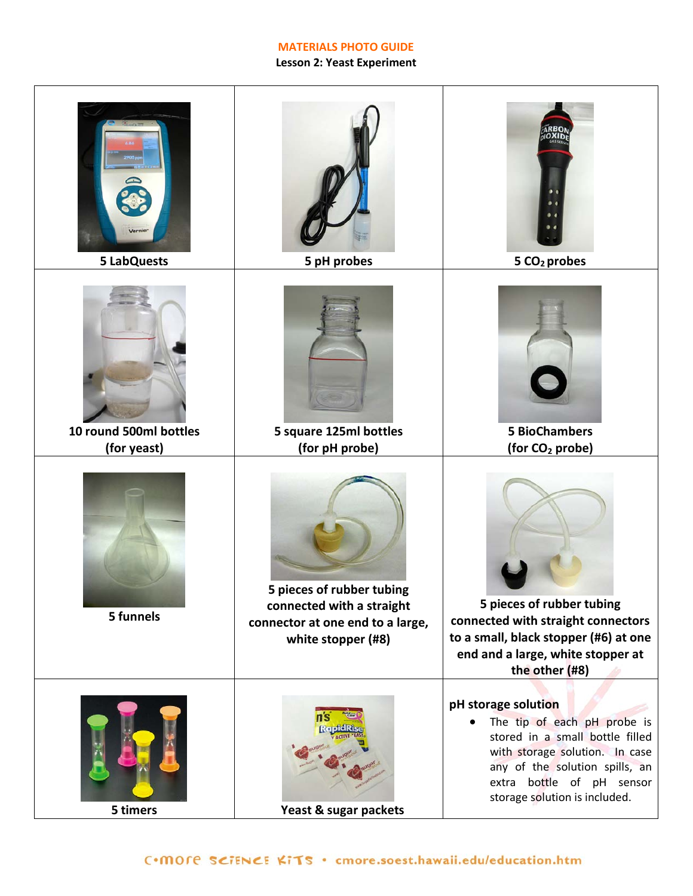# **MATERIALS PHOTO GUIDE**

# **Lesson 2: Yeast Experiment**

| <b>5 LabQuests</b>                    | 5 pH probes                                                                                                      | 5 CO <sub>2</sub> probes                                                                                                                                                                                                             |
|---------------------------------------|------------------------------------------------------------------------------------------------------------------|--------------------------------------------------------------------------------------------------------------------------------------------------------------------------------------------------------------------------------------|
| 10 round 500ml bottles<br>(for yeast) | 5 square 125ml bottles<br>(for pH probe)                                                                         | <b>5 BioChambers</b><br>(for CO <sub>2</sub> probe)                                                                                                                                                                                  |
| 5 funnels                             | 5 pieces of rubber tubing<br>connected with a straight<br>connector at one end to a large,<br>white stopper (#8) | 5 pieces of rubber tubing<br>connected with straight connectors<br>to a small, black stopper (#6) at one<br>end and a large, white stopper at<br>the other (#8)                                                                      |
| 5 timers                              | Yeast & sugar packets                                                                                            | pH storage solution<br>The tip of each pH probe is<br>$\bullet$<br>stored in a small bottle filled<br>with storage solution. In case<br>any of the solution spills, an<br>extra bottle of pH sensor<br>storage solution is included. |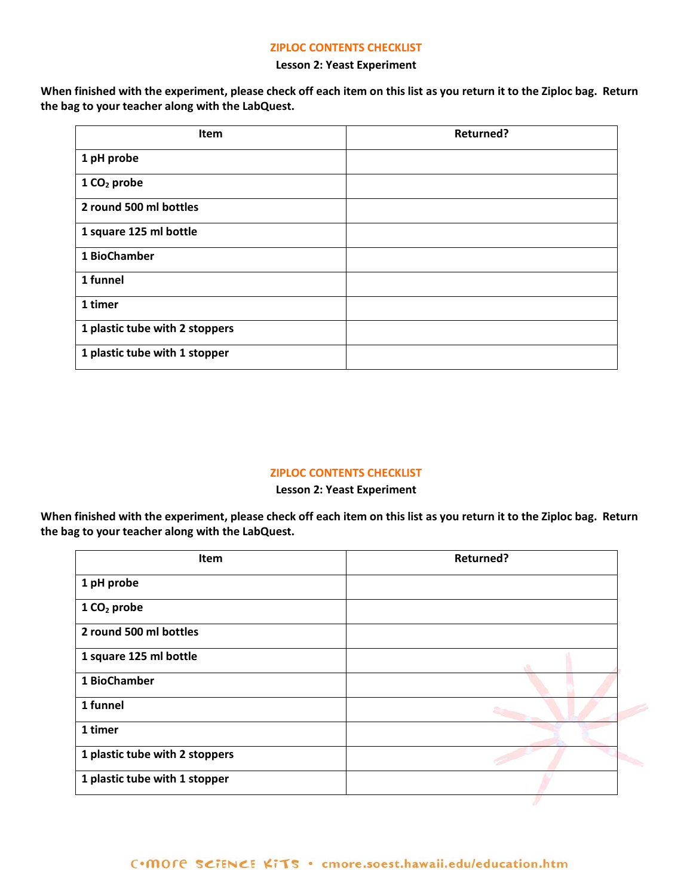#### **ZIPLOC CONTENTS CHECKLIST**

#### **Lesson 2: Yeast Experiment**

**When finished with the experiment, please check off each item on this list as you return it to the Ziploc bag. Return the bag to your teacher along with the LabQuest.** 

| Item                           | <b>Returned?</b> |
|--------------------------------|------------------|
| 1 pH probe                     |                  |
| $1 CO2$ probe                  |                  |
| 2 round 500 ml bottles         |                  |
| 1 square 125 ml bottle         |                  |
| 1 BioChamber                   |                  |
| 1 funnel                       |                  |
| 1 timer                        |                  |
| 1 plastic tube with 2 stoppers |                  |
| 1 plastic tube with 1 stopper  |                  |

#### **ZIPLOC CONTENTS CHECKLIST**

**Lesson 2: Yeast Experiment**

**When finished with the experiment, please check off each item on this list as you return it to the Ziploc bag. Return the bag to your teacher along with the LabQuest.** 

| Item                           | Returned? |
|--------------------------------|-----------|
| 1 pH probe                     |           |
| 1 CO <sub>2</sub> probe        |           |
| 2 round 500 ml bottles         |           |
| 1 square 125 ml bottle         |           |
| 1 BioChamber                   |           |
| 1 funnel                       |           |
| 1 timer                        |           |
| 1 plastic tube with 2 stoppers |           |
| 1 plastic tube with 1 stopper  |           |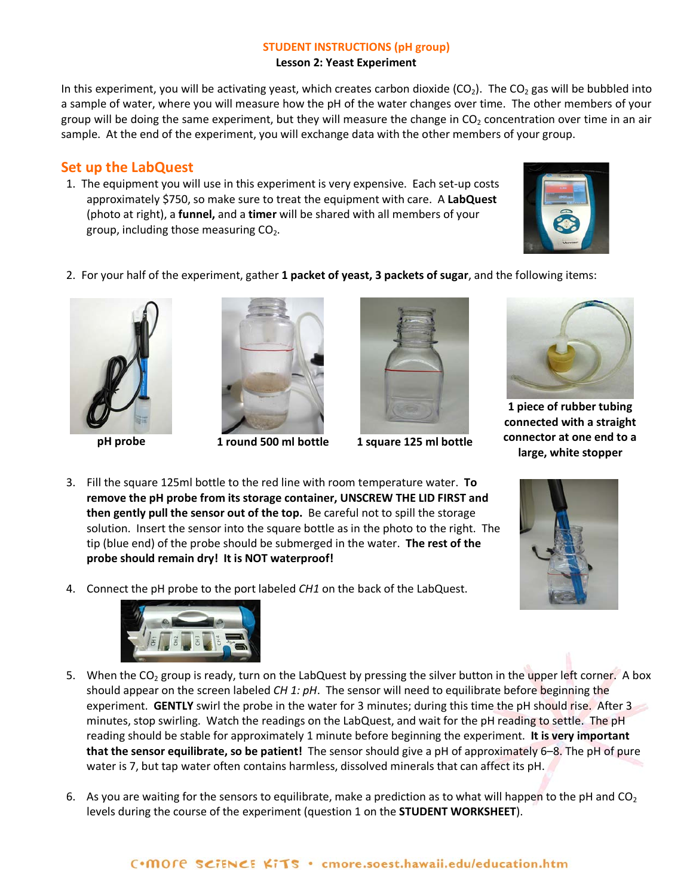# **STUDENT INSTRUCTIONS (pH group)**

**Lesson 2: Yeast Experiment**

In this experiment, you will be activating yeast, which creates carbon dioxide (CO<sub>2</sub>). The CO<sub>2</sub> gas will be bubbled into a sample of water, where you will measure how the pH of the water changes over time. The other members of your group will be doing the same experiment, but they will measure the change in  $CO<sub>2</sub>$  concentration over time in an air sample. At the end of the experiment, you will exchange data with the other members of your group.

# **Set up the LabQuest**

1. The equipment you will use in this experiment is very expensive. Each set-up costs approximately \$750, so make sure to treat the equipment with care. A **LabQuest** (photo at right), a **funnel,** and a **timer** will be shared with all members of your group, including those measuring  $CO<sub>2</sub>$ .



2. For your half of the experiment, gather **1 packet of yeast, 3 packets of sugar**, and the following items:







**pH probe 1 round 500 ml bottle 1 square 125 ml bottle**



**1 piece of rubber tubing connected with a straight connector at one end to a large, white stopper**

- 3. Fill the square 125ml bottle to the red line with room temperature water. **To remove the pH probe from its storage container, UNSCREW THE LID FIRST and then gently pull the sensor out of the top.** Be careful not to spill the storage solution. Insert the sensor into the square bottle as in the photo to the right. The tip (blue end) of the probe should be submerged in the water. **The rest of the probe should remain dry! It is NOT waterproof!**
- 4. Connect the pH probe to the port labeled *CH1* on the back of the LabQuest.



- 5. When the CO<sub>2</sub> group is ready, turn on the LabQuest by pressing the silver button in the upper left corner. A box should appear on the screen labeled *CH 1: pH*. The sensor will need to equilibrate before beginning the experiment. **GENTLY** swirl the probe in the water for 3 minutes; during this time the pH should rise. After 3 minutes, stop swirling. Watch the readings on the LabQuest, and wait for the pH reading to settle. The pH reading should be stable for approximately 1 minute before beginning the experiment. **It is very important that the sensor equilibrate, so be patient!** The sensor should give a pH of approximately 6–8. The pH of pure water is 7, but tap water often contains harmless, dissolved minerals that can affect its pH.
- 6. As you are waiting for the sensors to equilibrate, make a prediction as to what will happen to the pH and  $CO<sub>2</sub>$ levels during the course of the experiment (question 1 on the **STUDENT WORKSHEET**).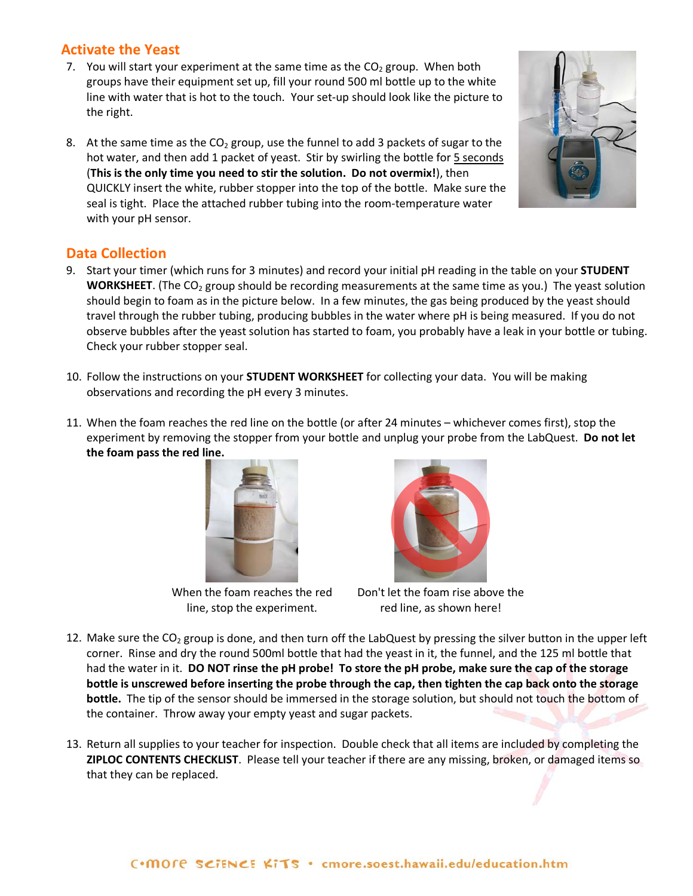# **Activate the Yeast**

- 7. You will start your experiment at the same time as the  $CO<sub>2</sub>$  group. When both groups have their equipment set up, fill your round 500 ml bottle up to the white line with water that is hot to the touch. Your set-up should look like the picture to the right.
- 8. At the same time as the  $CO<sub>2</sub>$  group, use the funnel to add 3 packets of sugar to the hot water, and then add 1 packet of yeast. Stir by swirling the bottle for 5 seconds (**This is the only time you need to stir the solution. Do not overmix!**), then QUICKLY insert the white, rubber stopper into the top of the bottle. Make sure the seal is tight. Place the attached rubber tubing into the room-temperature water with your pH sensor.

# **Data Collection**

- 9. Start your timer (which runs for 3 minutes) and record your initial pH reading in the table on your **STUDENT WORKSHEET**. (The CO<sub>2</sub> group should be recording measurements at the same time as you.) The yeast solution should begin to foam as in the picture below. In a few minutes, the gas being produced by the yeast should travel through the rubber tubing, producing bubbles in the water where pH is being measured. If you do not observe bubbles after the yeast solution has started to foam, you probably have a leak in your bottle or tubing. Check your rubber stopper seal.
- 10. Follow the instructions on your **STUDENT WORKSHEET** for collecting your data. You will be making observations and recording the pH every 3 minutes.
- 11. When the foam reaches the red line on the bottle (or after 24 minutes whichever comes first), stop the experiment by removing the stopper from your bottle and unplug your probe from the LabQuest. **Do not let the foam pass the red line.**



Don't let the foam rise above the

red line, as shown here!

- 12. Make sure the  $CO<sub>2</sub>$  group is done, and then turn off the LabQuest by pressing the silver button in the upper left corner. Rinse and dry the round 500ml bottle that had the yeast in it, the funnel, and the 125 ml bottle that had the water in it. **DO NOT rinse the pH probe! To store the pH probe, make sure the cap of the storage bottle is unscrewed before inserting the probe through the cap, then tighten the cap back onto the storage bottle.** The tip of the sensor should be immersed in the storage solution, but should not touch the bottom of the container. Throw away your empty yeast and sugar packets.
- 13. Return all supplies to your teacher for inspection. Double check that all items are included by completing the **ZIPLOC CONTENTS CHECKLIST**. Please tell your teacher if there are any missing, broken, or damaged items so that they can be replaced.



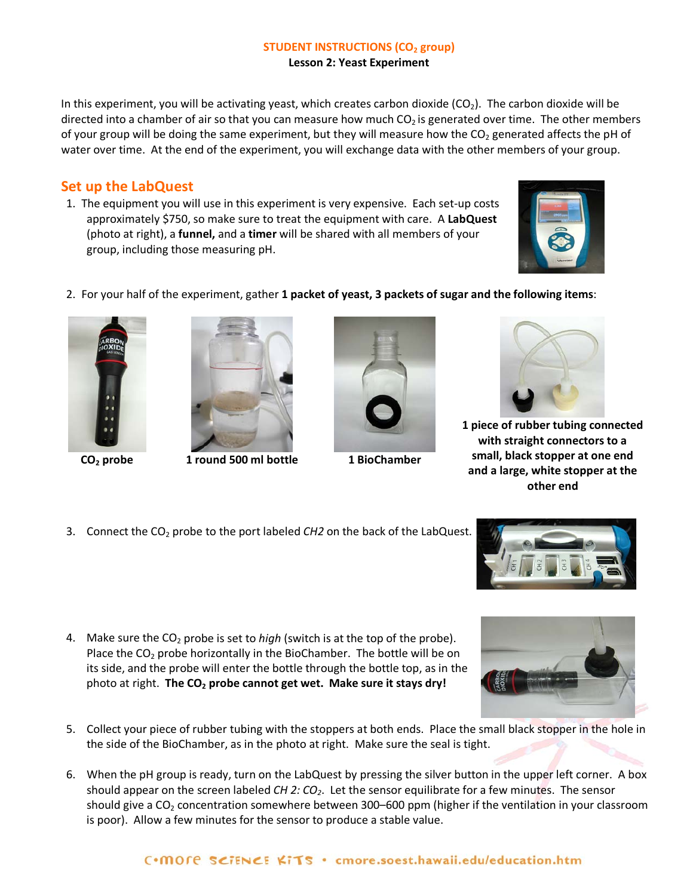#### **STUDENT INSTRUCTIONS (CO<sub>2</sub> group) Lesson 2: Yeast Experiment**

In this experiment, you will be activating yeast, which creates carbon dioxide  $(CO<sub>2</sub>)$ . The carbon dioxide will be directed into a chamber of air so that you can measure how much  $CO<sub>2</sub>$  is generated over time. The other members of your group will be doing the same experiment, but they will measure how the  $CO<sub>2</sub>$  generated affects the pH of water over time. At the end of the experiment, you will exchange data with the other members of your group.

# **Set up the LabQuest**

1. The equipment you will use in this experiment is very expensive. Each set-up costs approximately \$750, so make sure to treat the equipment with care. A **LabQuest** (photo at right), a **funnel,** and a **timer** will be shared with all members of your group, including those measuring pH.



2. For your half of the experiment, gather **1 packet of yeast, 3 packets of sugar and the following items**:





**CO2 probe 1 round 500 ml bottle 1 BioChamber**





**1 piece of rubber tubing connected with straight connectors to a small, black stopper at one end and a large, white stopper at the other end**

3. Connect the CO<sub>2</sub> probe to the port labeled *CH2* on the back of the LabQuest.



4. Make sure the CO2 probe is set to *high* (switch is at the top of the probe). Place the  $CO<sub>2</sub>$  probe horizontally in the BioChamber. The bottle will be on its side, and the probe will enter the bottle through the bottle top, as in the photo at right. The CO<sub>2</sub> probe cannot get wet. Make sure it stays dry!



- 5. Collect your piece of rubber tubing with the stoppers at both ends. Place the small black stopper in the hole in the side of the BioChamber, as in the photo at right. Make sure the seal is tight.
- 6. When the pH group is ready, turn on the LabQuest by pressing the silver button in the upper left corner. A box should appear on the screen labeled *CH 2: CO2*. Let the sensor equilibrate for a few minutes. The sensor should give a  $CO<sub>2</sub>$  concentration somewhere between 300–600 ppm (higher if the ventilation in your classroom is poor). Allow a few minutes for the sensor to produce a stable value.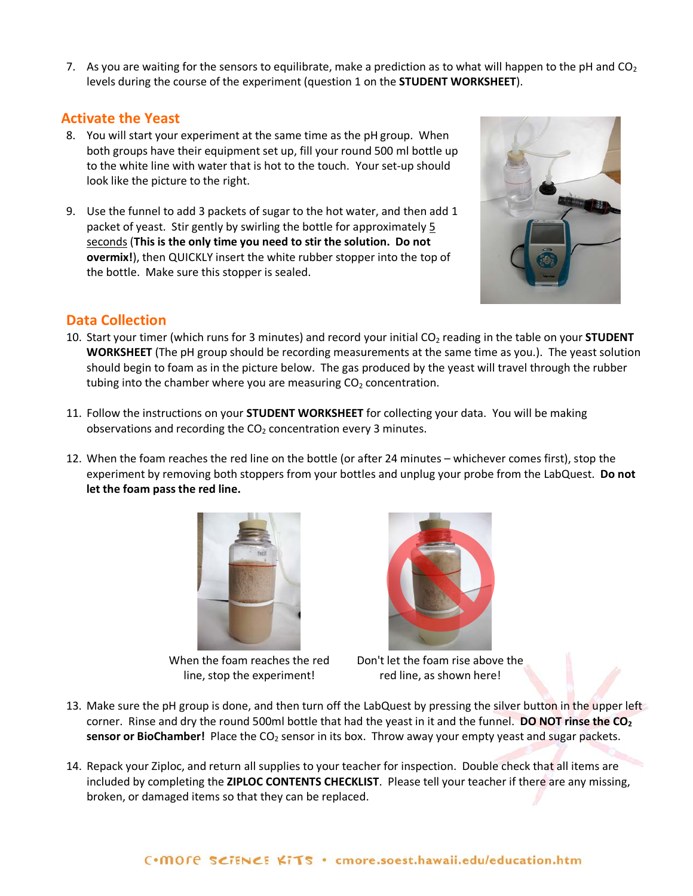7. As you are waiting for the sensors to equilibrate, make a prediction as to what will happen to the pH and  $CO<sub>2</sub>$ levels during the course of the experiment (question 1 on the **STUDENT WORKSHEET**).

# **Activate the Yeast**

- 8. You will start your experiment at the same time as the pH group. When both groups have their equipment set up, fill your round 500 ml bottle up to the white line with water that is hot to the touch. Your set-up should look like the picture to the right.
- 9. Use the funnel to add 3 packets of sugar to the hot water, and then add 1 packet of yeast. Stir gently by swirling the bottle for approximately 5 seconds (**This is the only time you need to stir the solution. Do not overmix!**), then QUICKLY insert the white rubber stopper into the top of the bottle. Make sure this stopper is sealed.



# **Data Collection**

- 10. Start your timer (which runs for 3 minutes) and record your initial CO<sub>2</sub> reading in the table on your **STUDENT WORKSHEET** (The pH group should be recording measurements at the same time as you.). The yeast solution should begin to foam as in the picture below. The gas produced by the yeast will travel through the rubber tubing into the chamber where you are measuring  $CO<sub>2</sub>$  concentration.
- 11. Follow the instructions on your **STUDENT WORKSHEET** for collecting your data. You will be making observations and recording the  $CO<sub>2</sub>$  concentration every 3 minutes.
- 12. When the foam reaches the red line on the bottle (or after 24 minutes whichever comes first), stop the experiment by removing both stoppers from your bottles and unplug your probe from the LabQuest. **Do not let the foam pass the red line.**



When the foam reaches the red line, stop the experiment!



Don't let the foam rise above the red line, as shown here!

- 13. Make sure the pH group is done, and then turn off the LabQuest by pressing the silver button in the upper left corner. Rinse and dry the round 500ml bottle that had the yeast in it and the funnel. **DO NOT rinse the CO2 sensor or BioChamber!** Place the CO<sub>2</sub> sensor in its box. Throw away your empty yeast and sugar packets.
- 14. Repack your Ziploc, and return all supplies to your teacher for inspection. Double check that all items are included by completing the **ZIPLOC CONTENTS CHECKLIST**. Please tell your teacher if there are any missing, broken, or damaged items so that they can be replaced.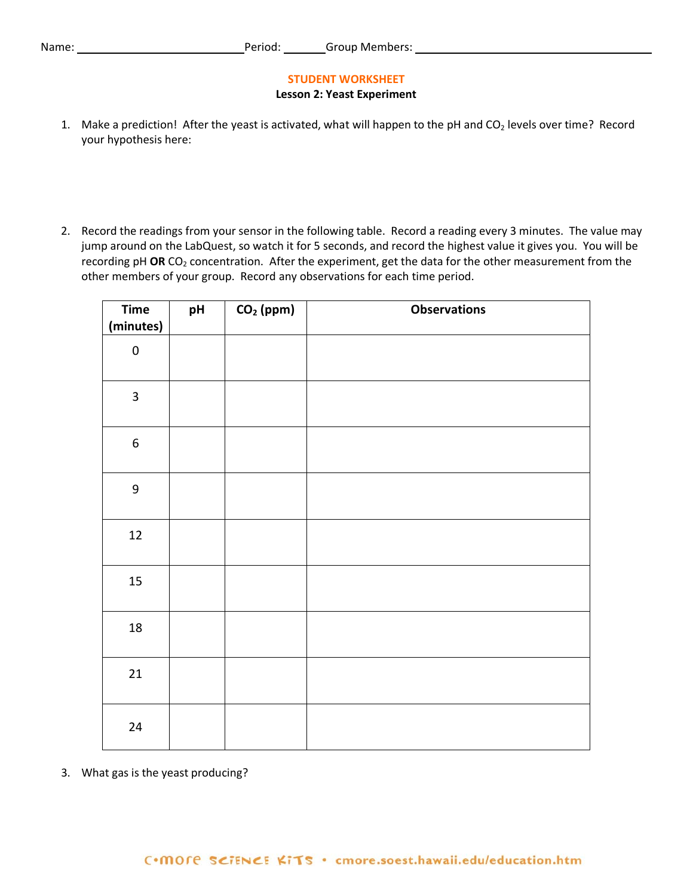#### **STUDENT WORKSHEET**

#### **Lesson 2: Yeast Experiment**

- 1. Make a prediction! After the yeast is activated, what will happen to the pH and  $CO<sub>2</sub>$  levels over time? Record your hypothesis here:
- 2. Record the readings from your sensor in the following table. Record a reading every 3 minutes. The value may jump around on the LabQuest, so watch it for 5 seconds, and record the highest value it gives you. You will be recording pH OR CO<sub>2</sub> concentration. After the experiment, get the data for the other measurement from the other members of your group. Record any observations for each time period.

| <b>Time</b><br>(minutes) | pH | $CO2$ (ppm) | <b>Observations</b> |
|--------------------------|----|-------------|---------------------|
| $\pmb{0}$                |    |             |                     |
| $\overline{\mathbf{3}}$  |    |             |                     |
| $\boldsymbol{6}$         |    |             |                     |
| $\boldsymbol{9}$         |    |             |                     |
| 12                       |    |             |                     |
| 15                       |    |             |                     |
| 18                       |    |             |                     |
| 21                       |    |             |                     |
| 24                       |    |             |                     |

3. What gas is the yeast producing?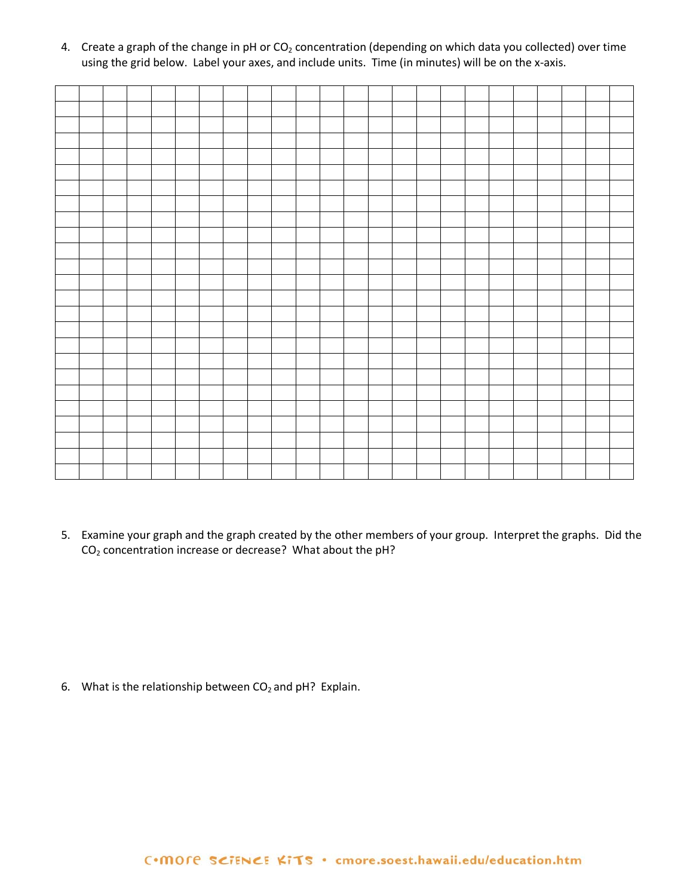4. Create a graph of the change in pH or  $CO<sub>2</sub>$  concentration (depending on which data you collected) over time using the grid below. Label your axes, and include units. Time (in minutes) will be on the x-axis.

5. Examine your graph and the graph created by the other members of your group. Interpret the graphs. Did the CO2 concentration increase or decrease? What about the pH?

6. What is the relationship between  $CO<sub>2</sub>$  and pH? Explain.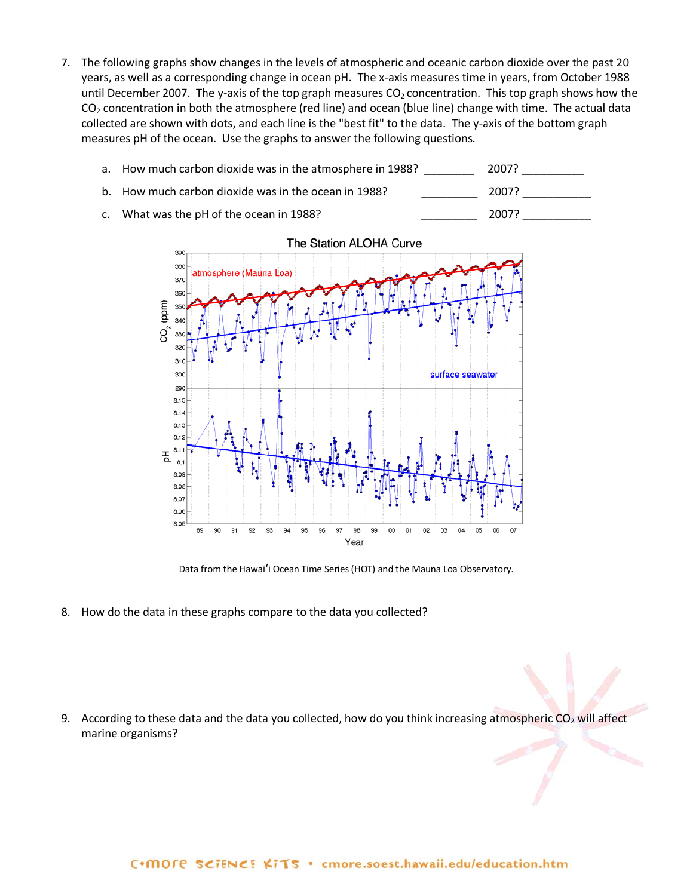7. The following graphs show changes in the levels of atmospheric and oceanic carbon dioxide over the past 20 years, as well as a corresponding change in ocean pH. The x-axis measures time in years, from October 1988 until December 2007. The y-axis of the top graph measures  $CO<sub>2</sub>$  concentration. This top graph shows how the  $CO<sub>2</sub>$  concentration in both the atmosphere (red line) and ocean (blue line) change with time. The actual data collected are shown with dots, and each line is the "best fit" to the data. The y-axis of the bottom graph measures pH of the ocean. Use the graphs to answer the following questions.



c. What was the pH of the ocean in 1988? Case 2007? 2007?



Data from the Hawai'i Ocean Time Series (HOT) and the Mauna Loa Observatory.

8. How do the data in these graphs compare to the data you collected?

9. According to these data and the data you collected, how do you think increasing atmospheric  $CO<sub>2</sub>$  will affect marine organisms?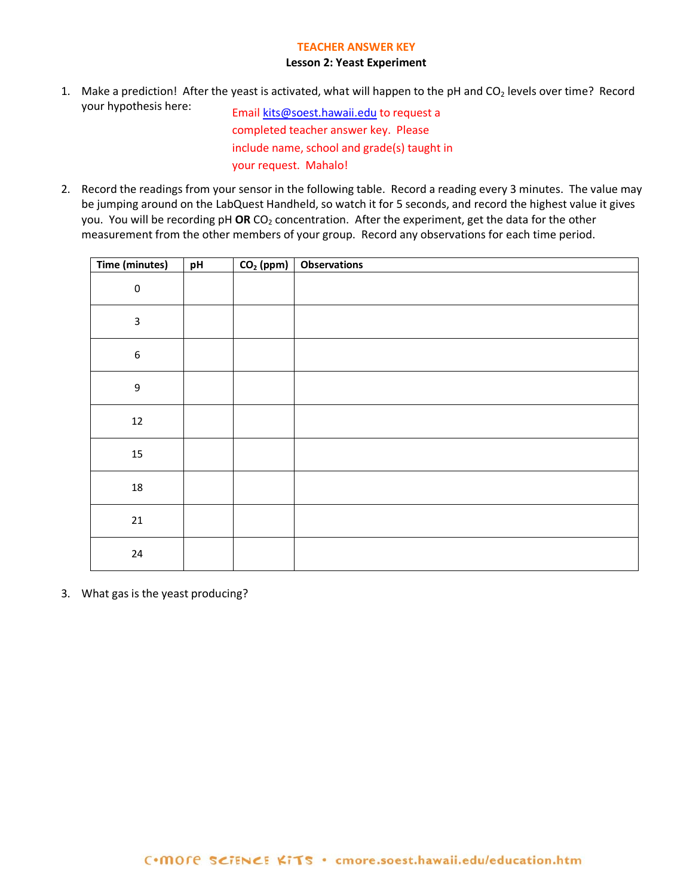#### **TEACHER ANSWER KEY**

#### **Lesson 2: Yeast Experiment**

1. Make a prediction! After the yeast is activated, what will happen to the pH and CO<sub>2</sub> levels over time? Record your hypothesis here: Email [kits@soest.hawaii.edu](mailto:kits@soest.hawaii.edu) to request a

completed teacher answer key. Please include name, school and grade(s) taught in your request. Mahalo!

2. Record the readings from your sensor in the following table. Record a reading every 3 minutes. The value may be jumping around on the LabQuest Handheld, so watch it for 5 seconds, and record the highest value it gives you. You will be recording pH OR CO<sub>2</sub> concentration. After the experiment, get the data for the other measurement from the other members of your group. Record any observations for each time period.

| Time (minutes)   | pH | $CO2$ (ppm) | <b>Observations</b> |
|------------------|----|-------------|---------------------|
| $\pmb{0}$        |    |             |                     |
| $\mathsf 3$      |    |             |                     |
| $\boldsymbol{6}$ |    |             |                     |
| $\boldsymbol{9}$ |    |             |                     |
| $12\,$           |    |             |                     |
| $15\,$           |    |             |                     |
| $18\,$           |    |             |                     |
| $21\,$           |    |             |                     |
| 24               |    |             |                     |

3. What gas is the yeast producing?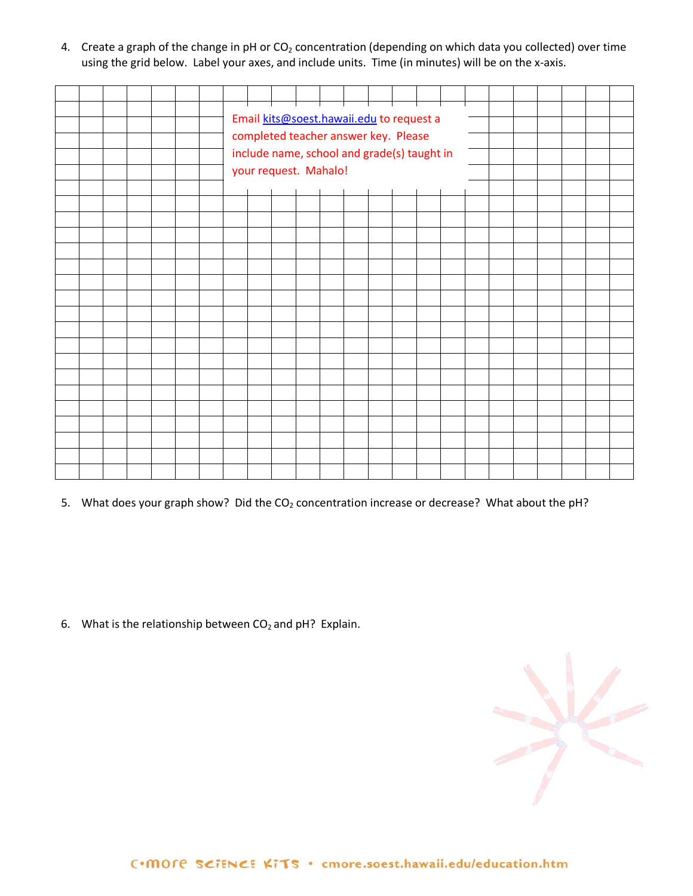4. Create a graph of the change in pH or  $CO<sub>2</sub>$  concentration (depending on which data you collected) over time using the grid below. Label your axes, and include units. Time (in minutes) will be on the x-axis.

|  |  |  |  |  | <del>╎┈╎┈╎┈╎┈╎┈╎┈</del> ┼┈                  |  |  |    |  |  |  |  |
|--|--|--|--|--|---------------------------------------------|--|--|----|--|--|--|--|
|  |  |  |  |  |                                             |  |  | ╼┽ |  |  |  |  |
|  |  |  |  |  | Email kits@soest.hawaii.edu to request a    |  |  |    |  |  |  |  |
|  |  |  |  |  | completed teacher answer key. Please        |  |  |    |  |  |  |  |
|  |  |  |  |  | include name, school and grade(s) taught in |  |  |    |  |  |  |  |
|  |  |  |  |  | your request. Mahalo!                       |  |  |    |  |  |  |  |
|  |  |  |  |  |                                             |  |  |    |  |  |  |  |
|  |  |  |  |  |                                             |  |  |    |  |  |  |  |
|  |  |  |  |  |                                             |  |  |    |  |  |  |  |
|  |  |  |  |  |                                             |  |  |    |  |  |  |  |
|  |  |  |  |  |                                             |  |  |    |  |  |  |  |
|  |  |  |  |  |                                             |  |  |    |  |  |  |  |
|  |  |  |  |  |                                             |  |  |    |  |  |  |  |
|  |  |  |  |  |                                             |  |  |    |  |  |  |  |
|  |  |  |  |  |                                             |  |  |    |  |  |  |  |
|  |  |  |  |  |                                             |  |  |    |  |  |  |  |
|  |  |  |  |  |                                             |  |  |    |  |  |  |  |
|  |  |  |  |  |                                             |  |  |    |  |  |  |  |
|  |  |  |  |  |                                             |  |  |    |  |  |  |  |
|  |  |  |  |  |                                             |  |  |    |  |  |  |  |
|  |  |  |  |  |                                             |  |  |    |  |  |  |  |
|  |  |  |  |  |                                             |  |  |    |  |  |  |  |
|  |  |  |  |  |                                             |  |  |    |  |  |  |  |
|  |  |  |  |  |                                             |  |  |    |  |  |  |  |
|  |  |  |  |  |                                             |  |  |    |  |  |  |  |
|  |  |  |  |  |                                             |  |  |    |  |  |  |  |
|  |  |  |  |  |                                             |  |  |    |  |  |  |  |

5. What does your graph show? Did the  $CO<sub>2</sub>$  concentration increase or decrease? What about the pH?

6. What is the relationship between  $CO<sub>2</sub>$  and pH? Explain.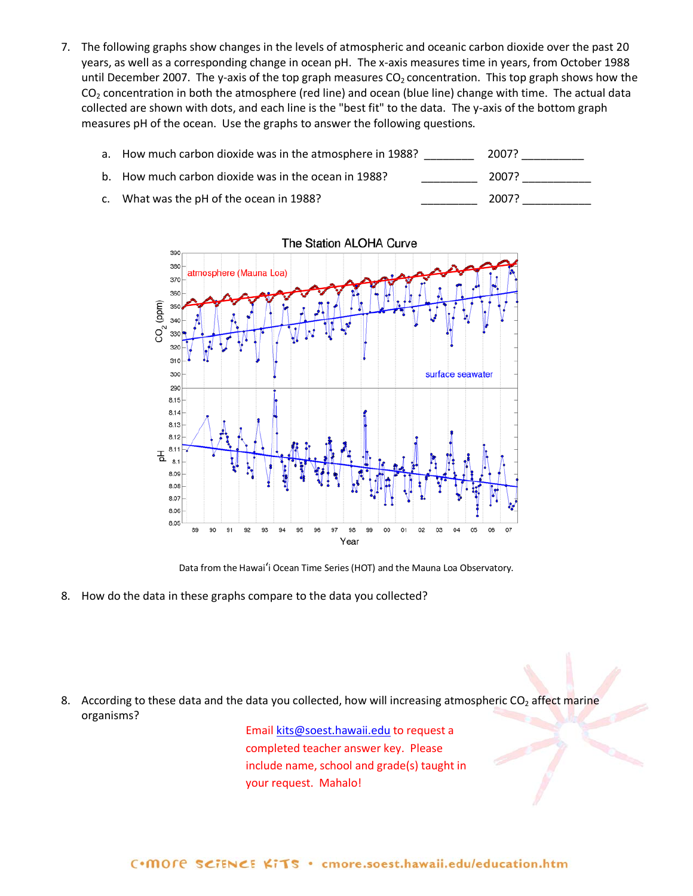7. The following graphs show changes in the levels of atmospheric and oceanic carbon dioxide over the past 20 years, as well as a corresponding change in ocean pH. The x-axis measures time in years, from October 1988 until December 2007. The y-axis of the top graph measures  $CO<sub>2</sub>$  concentration. This top graph shows how the  $CO<sub>2</sub>$  concentration in both the atmosphere (red line) and ocean (blue line) change with time. The actual data collected are shown with dots, and each line is the "best fit" to the data. The y-axis of the bottom graph measures pH of the ocean. Use the graphs to answer the following questions.





Data from the Hawai'i Ocean Time Series (HOT) and the Mauna Loa Observatory.

8. How do the data in these graphs compare to the data you collected?

8. According to these data and the data you collected, how will increasing atmospheric  $CO<sub>2</sub>$  affect marine organisms?

> Email [kits@soest.hawaii.edu](mailto:kits@soest.hawaii.edu) to request a completed teacher answer key. Please include name, school and grade(s) taught in your request. Mahalo!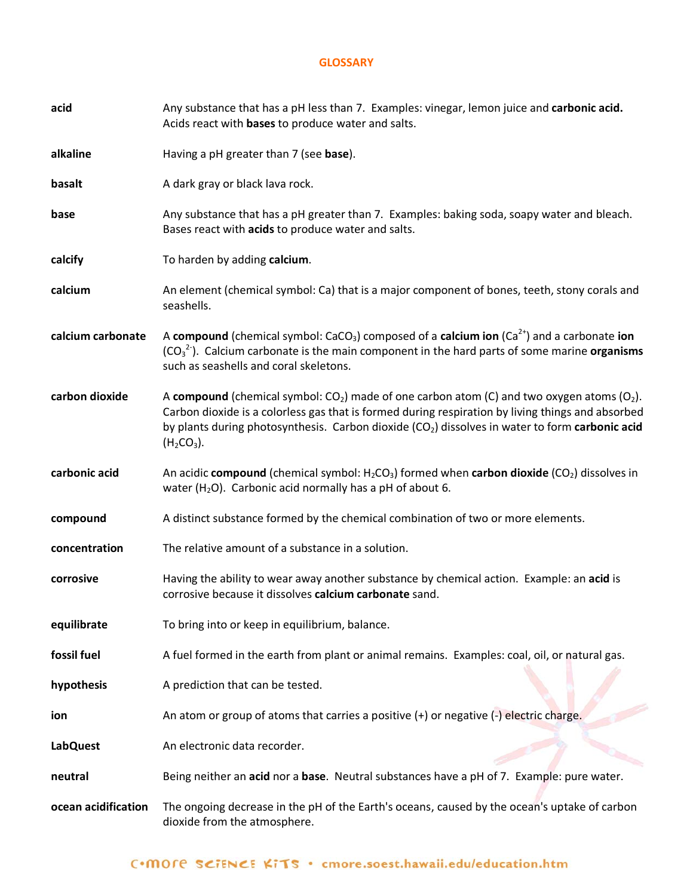## **GLOSSARY**

| acid                | Any substance that has a pH less than 7. Examples: vinegar, lemon juice and carbonic acid.<br>Acids react with bases to produce water and salts.                                                                                                                                                                                              |
|---------------------|-----------------------------------------------------------------------------------------------------------------------------------------------------------------------------------------------------------------------------------------------------------------------------------------------------------------------------------------------|
| alkaline            | Having a pH greater than 7 (see base).                                                                                                                                                                                                                                                                                                        |
| basalt              | A dark gray or black lava rock.                                                                                                                                                                                                                                                                                                               |
| base                | Any substance that has a pH greater than 7. Examples: baking soda, soapy water and bleach.<br>Bases react with acids to produce water and salts.                                                                                                                                                                                              |
| calcify             | To harden by adding calcium.                                                                                                                                                                                                                                                                                                                  |
| calcium             | An element (chemical symbol: Ca) that is a major component of bones, teeth, stony corals and<br>seashells.                                                                                                                                                                                                                                    |
| calcium carbonate   | A compound (chemical symbol: CaCO <sub>3</sub> ) composed of a calcium ion (Ca <sup>2+</sup> ) and a carbonate ion<br>$(CO_3^2)$ . Calcium carbonate is the main component in the hard parts of some marine organisms<br>such as seashells and coral skeletons.                                                                               |
| carbon dioxide      | A compound (chemical symbol: $CO2$ ) made of one carbon atom (C) and two oxygen atoms (O <sub>2</sub> ).<br>Carbon dioxide is a colorless gas that is formed during respiration by living things and absorbed<br>by plants during photosynthesis. Carbon dioxide (CO <sub>2</sub> ) dissolves in water to form carbonic acid<br>$(H_2CO_3)$ . |
| carbonic acid       | An acidic compound (chemical symbol: $H_2CO_3$ ) formed when carbon dioxide (CO <sub>2</sub> ) dissolves in<br>water ( $H_2O$ ). Carbonic acid normally has a pH of about 6.                                                                                                                                                                  |
| compound            | A distinct substance formed by the chemical combination of two or more elements.                                                                                                                                                                                                                                                              |
| concentration       | The relative amount of a substance in a solution.                                                                                                                                                                                                                                                                                             |
| corrosive           | Having the ability to wear away another substance by chemical action. Example: an acid is<br>corrosive because it dissolves calcium carbonate sand.                                                                                                                                                                                           |
| equilibrate         | To bring into or keep in equilibrium, balance.                                                                                                                                                                                                                                                                                                |
| fossil fuel         | A fuel formed in the earth from plant or animal remains. Examples: coal, oil, or natural gas.                                                                                                                                                                                                                                                 |
| hypothesis          | A prediction that can be tested.                                                                                                                                                                                                                                                                                                              |
| ion                 | An atom or group of atoms that carries a positive $(+)$ or negative $(-)$ electric charge.                                                                                                                                                                                                                                                    |
| <b>LabQuest</b>     | An electronic data recorder.                                                                                                                                                                                                                                                                                                                  |
| neutral             | Being neither an acid nor a base. Neutral substances have a pH of 7. Example: pure water.                                                                                                                                                                                                                                                     |
| ocean acidification | The ongoing decrease in the pH of the Earth's oceans, caused by the ocean's uptake of carbon<br>dioxide from the atmosphere.                                                                                                                                                                                                                  |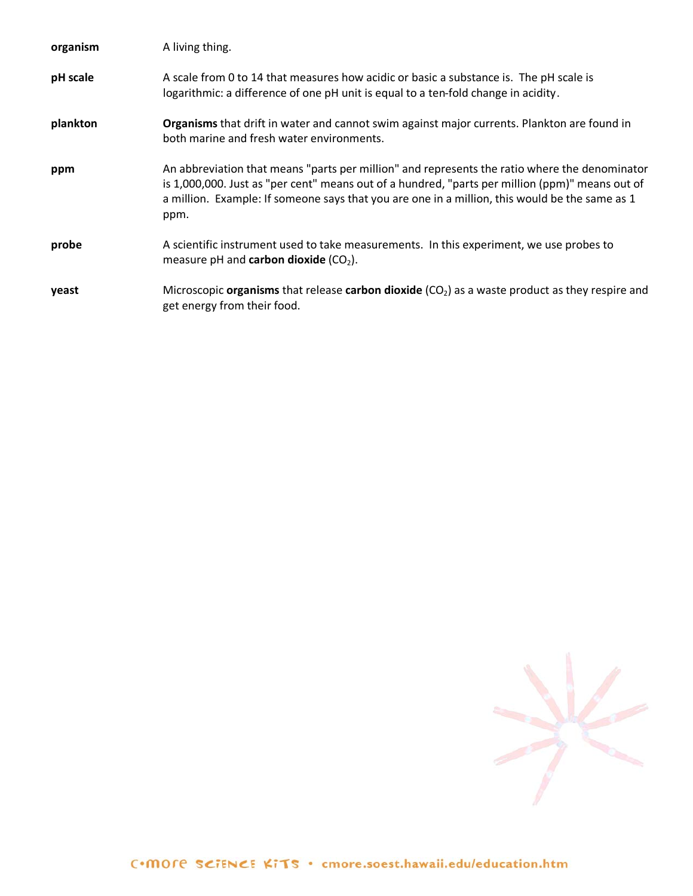| organism | A living thing.                                                                                                                                                                                                                                                                                            |
|----------|------------------------------------------------------------------------------------------------------------------------------------------------------------------------------------------------------------------------------------------------------------------------------------------------------------|
| pH scale | A scale from 0 to 14 that measures how acidic or basic a substance is. The pH scale is<br>logarithmic: a difference of one pH unit is equal to a ten-fold change in acidity.                                                                                                                               |
| plankton | Organisms that drift in water and cannot swim against major currents. Plankton are found in<br>both marine and fresh water environments.                                                                                                                                                                   |
| ppm      | An abbreviation that means "parts per million" and represents the ratio where the denominator<br>is 1,000,000. Just as "per cent" means out of a hundred, "parts per million (ppm)" means out of<br>a million. Example: If someone says that you are one in a million, this would be the same as 1<br>ppm. |
| probe    | A scientific instrument used to take measurements. In this experiment, we use probes to<br>measure pH and carbon dioxide $(CO2)$ .                                                                                                                                                                         |
| yeast    | Microscopic organisms that release carbon dioxide $(CO2)$ as a waste product as they respire and<br>get energy from their food.                                                                                                                                                                            |

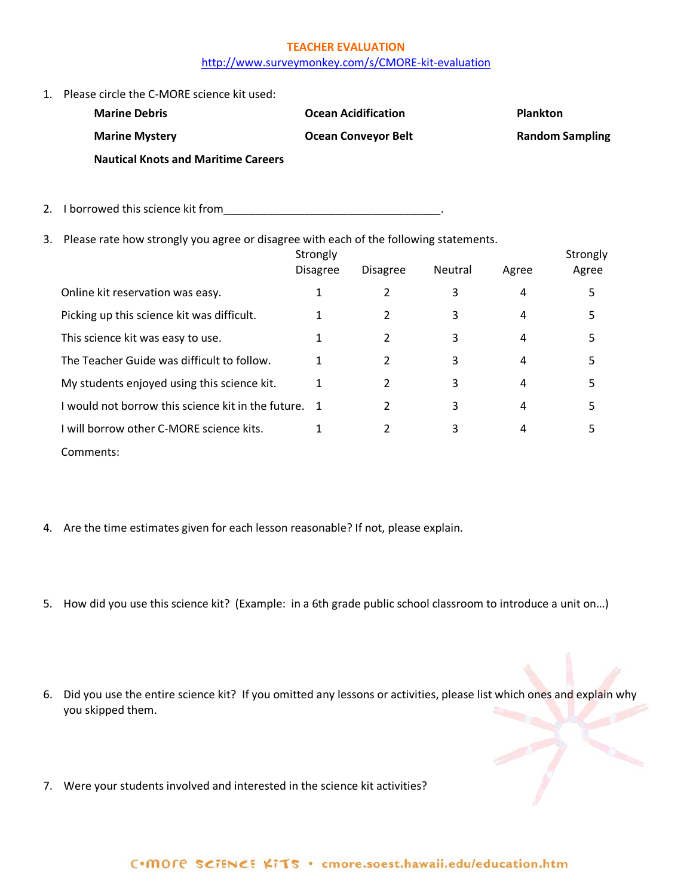# **TEACHER EVALUATION** <http://www.surveymonkey.com/s/CMORE-kit-evaluation>

1. Please circle the C-MORE science kit used:

| <b>Marine Debris</b>                       | <b>Ocean Acidification</b> | <b>Plankton</b>        |
|--------------------------------------------|----------------------------|------------------------|
| <b>Marine Mystery</b>                      | <b>Ocean Conveyor Belt</b> | <b>Random Sampling</b> |
| <b>Nautical Knots and Maritime Careers</b> |                            |                        |

- 2. I borrowed this science kit from\_\_\_\_\_\_\_\_\_\_\_\_\_\_\_\_\_\_\_\_\_\_\_\_\_\_\_\_\_\_\_\_\_\_\_.
- 3. Please rate how strongly you agree or disagree with each of the following statements.

|                                                  | Strongly<br><b>Disagree</b> | <b>Disagree</b> | Neutral | Agree | Strongly<br>Agree |
|--------------------------------------------------|-----------------------------|-----------------|---------|-------|-------------------|
| Online kit reservation was easy.                 |                             | 2               | 3       | 4     | 5                 |
| Picking up this science kit was difficult.       |                             | 2               | 3       | 4     | 5                 |
| This science kit was easy to use.                |                             | 2               | 3       | 4     | 5                 |
| The Teacher Guide was difficult to follow.       | 1                           | 2               | 3       | 4     | 5                 |
| My students enjoyed using this science kit.      | 1                           | 2               | 3       | 4     | 5                 |
| would not borrow this science kit in the future. |                             | 2               | 3       | 4     | 5                 |
| I will borrow other C-MORE science kits.         |                             | 2               | 3       | 4     | 5                 |
| Comments:                                        |                             |                 |         |       |                   |

- 4. Are the time estimates given for each lesson reasonable? If not, please explain.
- 5. How did you use this science kit? (Example: in a 6th grade public school classroom to introduce a unit on…)
- 6. Did you use the entire science kit? If you omitted any lessons or activities, please list which ones and explain why you skipped them.
- 7. Were your students involved and interested in the science kit activities?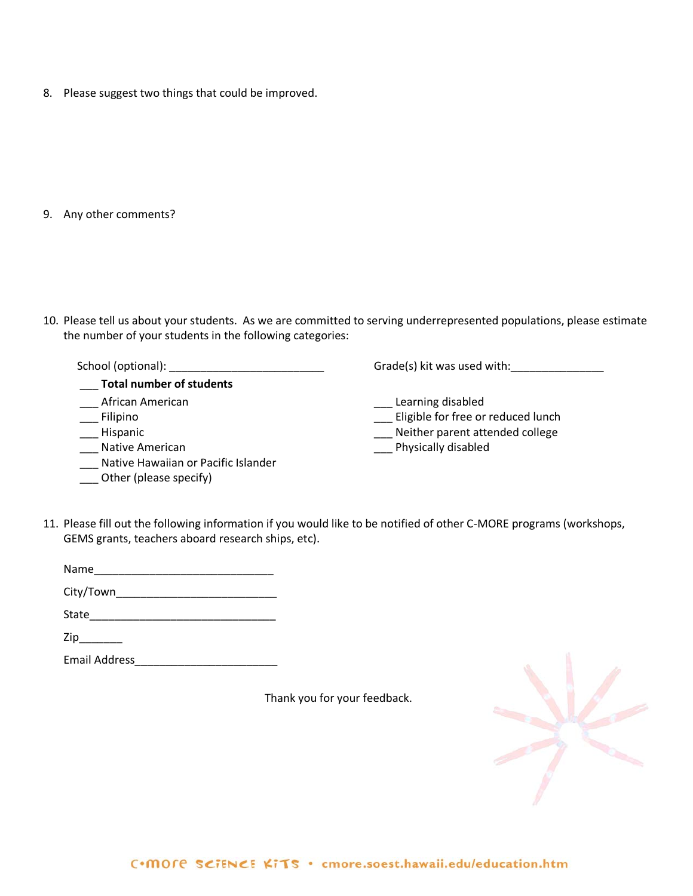8. Please suggest two things that could be improved.

9. Any other comments?

10. Please tell us about your students. As we are committed to serving underrepresented populations, please estimate the number of your students in the following categories:

 School (optional): \_\_\_\_\_\_\_\_\_\_\_\_\_\_\_\_\_\_\_\_\_\_\_\_\_ Grade(s) kit was used with:\_\_\_\_\_\_\_\_\_\_\_\_\_\_\_ \_\_\_ **Total number of students** \_\_\_ African American \_\_\_ Filipino \_\_\_ Hispanic \_\_\_ Native American \_\_\_ Native Hawaiian or Pacific Islander \_\_\_ Learning disabled \_\_\_ Eligible for free or reduced lunch \_\_\_ Neither parent attended college \_\_\_ Physically disabled \_\_\_ Other (please specify)

11. Please fill out the following information if you would like to be notified of other C-MORE programs (workshops, GEMS grants, teachers aboard research ships, etc).

| Name      |  |  |  |
|-----------|--|--|--|
| City/Town |  |  |  |

State\_\_\_\_\_\_\_\_\_\_\_\_\_\_\_\_\_\_\_\_\_\_\_\_\_\_\_\_\_\_

 $\mathsf{Zip}\_$ 

Email Address\_\_\_\_\_\_\_\_\_\_\_\_\_\_\_\_\_\_\_\_\_\_\_

Thank you for your feedback.

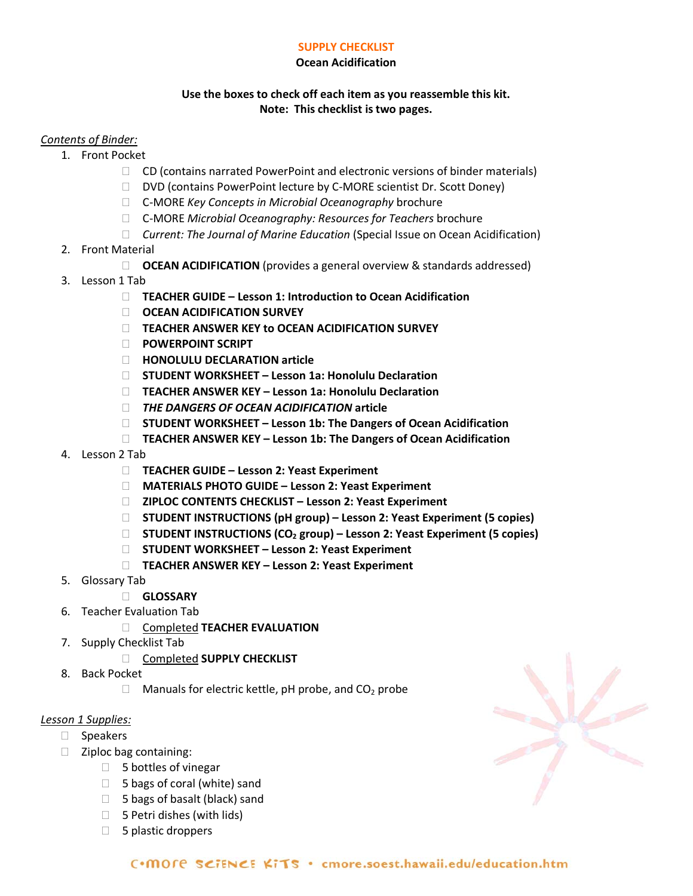# **SUPPLY CHECKLIST**

# **Ocean Acidification**

# **Use the boxes to check off each item as you reassemble this kit. Note: This checklist is two pages.**

# *Contents of Binder:*

- 1. Front Pocket
	- $\Box$  CD (contains narrated PowerPoint and electronic versions of binder materials)
	- DVD (contains PowerPoint lecture by C-MORE scientist Dr. Scott Doney)
	- C-MORE *Key Concepts in Microbial Oceanography* brochure
	- C-MORE *Microbial Oceanography: Resources for Teachers* brochure
	- *Current: The Journal of Marine Education* (Special Issue on Ocean Acidification)
- 2. Front Material
	- □ **OCEAN ACIDIFICATION** (provides a general overview & standards addressed)
- 3. Lesson 1 Tab
	- **TEACHER GUIDE – Lesson 1: Introduction to Ocean Acidification**
	- **OCEAN ACIDIFICATION SURVEY**
	- **TEACHER ANSWER KEY to OCEAN ACIDIFICATION SURVEY**
	- **POWERPOINT SCRIPT**
	- **HONOLULU DECLARATION article**
	- **STUDENT WORKSHEET – Lesson 1a: Honolulu Declaration**
	- **TEACHER ANSWER KEY – Lesson 1a: Honolulu Declaration**
	- *THE DANGERS OF OCEAN ACIDIFICATION* **article**
	- **STUDENT WORKSHEET – Lesson 1b: The Dangers of Ocean Acidification**
	- **TEACHER ANSWER KEY – Lesson 1b: The Dangers of Ocean Acidification**
- 4. Lesson 2 Tab
	- **TEACHER GUIDE – Lesson 2: Yeast Experiment**
	- **MATERIALS PHOTO GUIDE – Lesson 2: Yeast Experiment**
	- **ZIPLOC CONTENTS CHECKLIST – Lesson 2: Yeast Experiment**
	- **STUDENT INSTRUCTIONS (pH group) – Lesson 2: Yeast Experiment (5 copies)**
	- **STUDENT INSTRUCTIONS (CO2 group) – Lesson 2: Yeast Experiment (5 copies)**
	- **STUDENT WORKSHEET – Lesson 2: Yeast Experiment**
	- **TEACHER ANSWER KEY – Lesson 2: Yeast Experiment**
- 5. Glossary Tab
	- **GLOSSARY**
- 6. Teacher Evaluation Tab
	- Completed **TEACHER EVALUATION**
- 7. Supply Checklist Tab
	- Completed **SUPPLY CHECKLIST**
- 8. Back Pocket
	- $\Box$  Manuals for electric kettle, pH probe, and CO<sub>2</sub> probe

## *Lesson 1 Supplies:*

- □ Speakers
- $\Box$  Ziploc bag containing:
	- $\Box$  5 bottles of vinegar
	- $\Box$  5 bags of coral (white) sand
	- $\Box$  5 bags of basalt (black) sand
	- $\Box$  5 Petri dishes (with lids)
	- $\Box$  5 plastic droppers